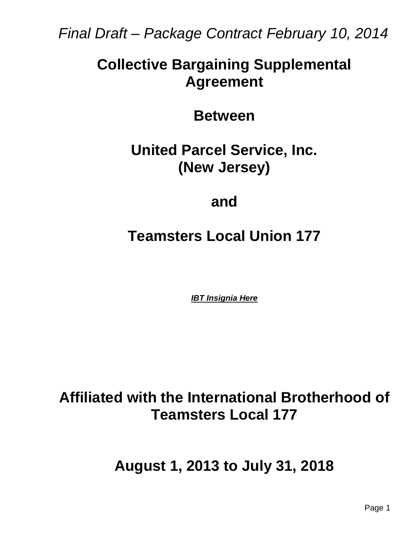*Final Draft – Package Contract February 10, 2014*

# **Collective Bargaining Supplemental Agreement**

**Between**

**United Parcel Service, Inc. (New Jersey)**

**and**

**Teamsters Local Union 177**

*IBT Insignia Here*

**Affiliated with the International Brotherhood of Teamsters Local 177**

**August 1, 2013 to July 31, 2018**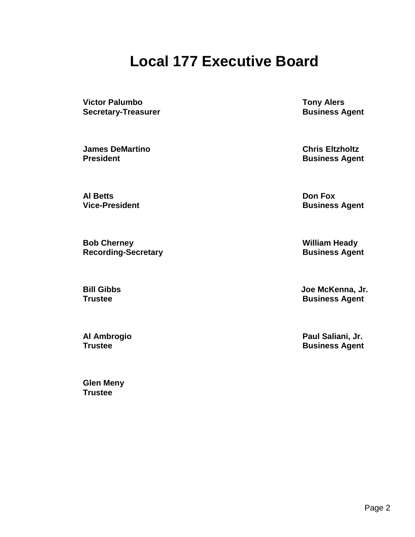# **Local 177 Executive Board**

**Victor Palumbo Tony Alers Secretary-Treasurer Business Agent** 

**James DeMartino Chris Eltzholtz President Business Agent** 

**Al Betts Don Fox**

**Bob Cherney William Heady Recording-Secretary <b>Business** Agent

**Glen Meny Trustee**

**Vice-President Business Agent** 

**Bill Gibbs Joe McKenna, Jr. Trustee Business Agent** 

**Al Ambrogio Paul Saliani, Jr. Business Agent**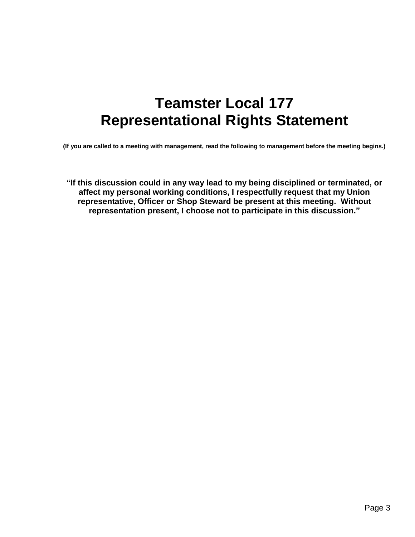# **Teamster Local 177 Representational Rights Statement**

**(If you are called to a meeting with management, read the following to management before the meeting begins.)**

**"If this discussion could in any way lead to my being disciplined or terminated, or affect my personal working conditions, I respectfully request that my Union representative, Officer or Shop Steward be present at this meeting. Without representation present, I choose not to participate in this discussion."**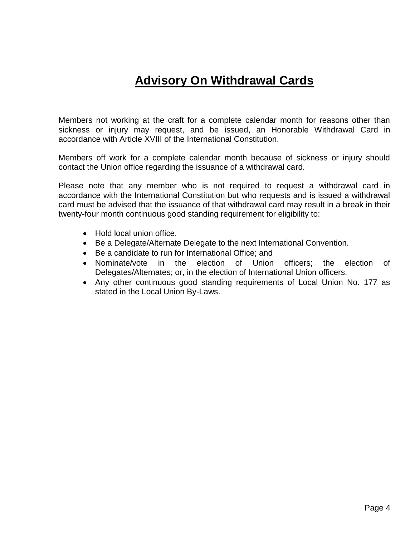# **Advisory On Withdrawal Cards**

Members not working at the craft for a complete calendar month for reasons other than sickness or injury may request, and be issued, an Honorable Withdrawal Card in accordance with Article XVIII of the International Constitution.

Members off work for a complete calendar month because of sickness or injury should contact the Union office regarding the issuance of a withdrawal card.

Please note that any member who is not required to request a withdrawal card in accordance with the International Constitution but who requests and is issued a withdrawal card must be advised that the issuance of that withdrawal card may result in a break in their twenty-four month continuous good standing requirement for eligibility to:

- Hold local union office.
- Be a Delegate/Alternate Delegate to the next International Convention.
- Be a candidate to run for International Office: and
- Nominate/vote in the election of Union officers; the election of Delegates/Alternates; or, in the election of International Union officers.
- Any other continuous good standing requirements of Local Union No. 177 as stated in the Local Union By-Laws.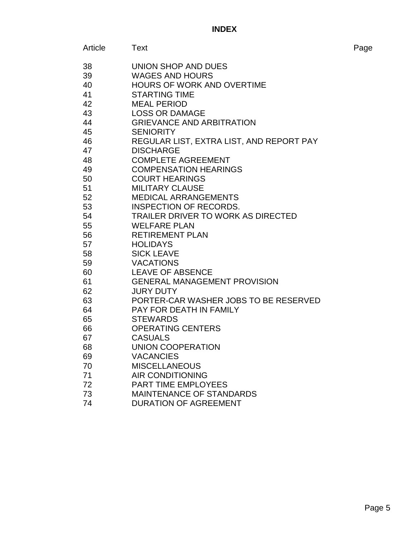# **INDEX**

| Article | Text                                      | Page |
|---------|-------------------------------------------|------|
| 38      | UNION SHOP AND DUES                       |      |
| 39      | <b>WAGES AND HOURS</b>                    |      |
| 40      | <b>HOURS OF WORK AND OVERTIME</b>         |      |
| 41      | <b>STARTING TIME</b>                      |      |
| 42      | <b>MEAL PERIOD</b>                        |      |
| 43      | <b>LOSS OR DAMAGE</b>                     |      |
| 44      | <b>GRIEVANCE AND ARBITRATION</b>          |      |
| 45      | <b>SENIORITY</b>                          |      |
| 46      | REGULAR LIST, EXTRA LIST, AND REPORT PAY  |      |
| 47      | <b>DISCHARGE</b>                          |      |
| 48      | <b>COMPLETE AGREEMENT</b>                 |      |
| 49      | <b>COMPENSATION HEARINGS</b>              |      |
| 50      | <b>COURT HEARINGS</b>                     |      |
| 51      | <b>MILITARY CLAUSE</b>                    |      |
| 52      | <b>MEDICAL ARRANGEMENTS</b>               |      |
| 53      | <b>INSPECTION OF RECORDS.</b>             |      |
| 54      | <b>TRAILER DRIVER TO WORK AS DIRECTED</b> |      |
| 55      | <b>WELFARE PLAN</b>                       |      |
| 56      | <b>RETIREMENT PLAN</b>                    |      |
| 57      | <b>HOLIDAYS</b>                           |      |
| 58      | <b>SICK LEAVE</b>                         |      |
| 59      | <b>VACATIONS</b>                          |      |
| 60      | <b>LEAVE OF ABSENCE</b>                   |      |
| 61      | <b>GENERAL MANAGEMENT PROVISION</b>       |      |
| 62      | <b>JURY DUTY</b>                          |      |
| 63      | PORTER-CAR WASHER JOBS TO BE RESERVED     |      |
| 64      | PAY FOR DEATH IN FAMILY                   |      |
| 65      | <b>STEWARDS</b>                           |      |
| 66      | <b>OPERATING CENTERS</b>                  |      |
| 67      | <b>CASUALS</b>                            |      |
| 68      | UNION COOPERATION                         |      |
| 69      | <b>VACANCIES</b>                          |      |
| 70      | <b>MISCELLANEOUS</b>                      |      |
| 71      | <b>AIR CONDITIONING</b>                   |      |
| 72      | <b>PART TIME EMPLOYEES</b>                |      |
| 73      | <b>MAINTENANCE OF STANDARDS</b>           |      |
| 74      | <b>DURATION OF AGREEMENT</b>              |      |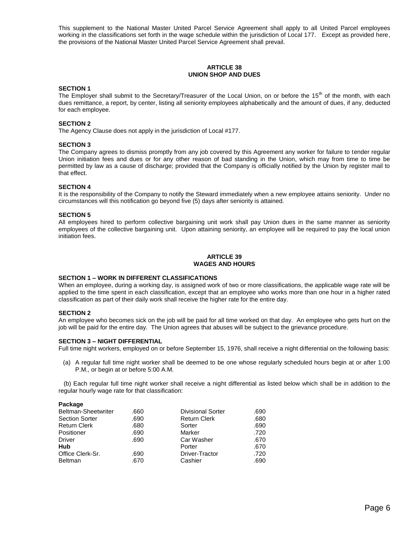This supplement to the National Master United Parcel Service Agreement shall apply to all United Parcel employees working in the classifications set forth in the wage schedule within the jurisdiction of Local 177. Except as provided here, the provisions of the National Master United Parcel Service Agreement shall prevail.

# **ARTICLE 38 UNION SHOP AND DUES**

#### **SECTION 1**

The Employer shall submit to the Secretary/Treasurer of the Local Union, on or before the  $15<sup>th</sup>$  of the month, with each dues remittance, a report, by center, listing all seniority employees alphabetically and the amount of dues, if any, deducted for each employee.

# **SECTION 2**

The Agency Clause does not apply in the jurisdiction of Local #177.

#### **SECTION 3**

The Company agrees to dismiss promptly from any job covered by this Agreement any worker for failure to tender regular Union initiation fees and dues or for any other reason of bad standing in the Union, which may from time to time be permitted by law as a cause of discharge; provided that the Company is officially notified by the Union by register mail to that effect.

#### **SECTION 4**

It is the responsibility of the Company to notify the Steward immediately when a new employee attains seniority. Under no circumstances will this notification go beyond five (5) days after seniority is attained.

#### **SECTION 5**

All employees hired to perform collective bargaining unit work shall pay Union dues in the same manner as seniority employees of the collective bargaining unit. Upon attaining seniority, an employee will be required to pay the local union initiation fees.

#### **ARTICLE 39 WAGES AND HOURS**

#### **SECTION 1 – WORK IN DIFFERENT CLASSIFICATIONS**

When an employee, during a working day, is assigned work of two or more classifications, the applicable wage rate will be applied to the time spent in each classification, except that an employee who works more than one hour in a higher rated classification as part of their daily work shall receive the higher rate for the entire day.

#### **SECTION 2**

An employee who becomes sick on the job will be paid for all time worked on that day. An employee who gets hurt on the job will be paid for the entire day. The Union agrees that abuses will be subject to the grievance procedure.

# **SECTION 3 – NIGHT DIFFERENTIAL**

Full time night workers, employed on or before September 15, 1976, shall receive a night differential on the following basis:

(a) A regular full time night worker shall be deemed to be one whose regularly scheduled hours begin at or after 1:00 P.M., or begin at or before 5:00 A.M.

 (b) Each regular full time night worker shall receive a night differential as listed below which shall be in addition to the regular hourly wage rate for that classification:

#### **Package**

| .680 |
|------|
| .690 |
| .720 |
| .670 |
| .670 |
| .720 |
| .690 |
|      |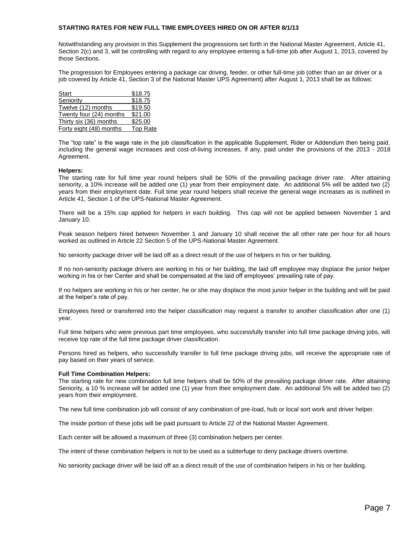# **STARTING RATES FOR NEW FULL TIME EMPLOYEES HIRED ON OR AFTER 8/1/13**

Notwithstanding any provision in this Supplement the progressions set forth in the National Master Agreement, Article 41, Section 2(c) and 3, will be controlling with regard to any employee entering a full-time job after August 1, 2013, covered by those Sections.

The progression for Employees entering a package car driving, feeder, or other full-time job (other than an air driver or a job covered by Article 41, Section 3 of the National Master UPS Agreement) after August 1, 2013 shall be as follows:

| Start                   | \$18.75         |
|-------------------------|-----------------|
| Seniority               | \$18.75         |
| Twelve (12) months      | \$19.50         |
| Twenty four (24) months | \$21.00         |
| Thirty six (36) months  | \$25.00         |
| Forty eight (48) months | <b>Top Rate</b> |

The "top rate" is the wage rate in the job classification in the applicable Supplement, Rider or Addendum then being paid, including the general wage increases and cost-of-living increases, if any, paid under the provisions of the 2013 - 2018 Agreement.

#### **Helpers:**

The starting rate for full time year round helpers shall be 50% of the prevailing package driver rate. After attaining seniority, a 10% increase will be added one (1) year from their employment date. An additional 5% will be added two (2) years from their employment date. Full time year round helpers shall receive the general wage increases as is outlined in Article 41, Section 1 of the UPS-National Master Agreement.

There will be a 15% cap applied for helpers in each building. This cap will not be applied between November 1 and January 10.

Peak season helpers hired between November 1 and January 10 shall receive the all other rate per hour for all hours worked as outlined in Article 22 Section 5 of the UPS-National Master Agreement.

No seniority package driver will be laid off as a direct result of the use of helpers in his or her building.

If no non-seniority package drivers are working in his or her building, the laid off employee may displace the junior helper working in his or her Center and shall be compensated at the laid off employees' prevailing rate of pay.

If no helpers are working in his or her center, he or she may displace the most junior helper in the building and will be paid at the helper's rate of pay.

Employees hired or transferred into the helper classification may request a transfer to another classification after one (1) year.

Full time helpers who were previous part time employees, who successfully transfer into full time package driving jobs, will receive top rate of the full time package driver classification.

Persons hired as helpers, who successfully transfer to full time package driving jobs, will receive the appropriate rate of pay based on their years of service.

#### **Full Time Combination Helpers:**

The starting rate for new combination full time helpers shall be 50% of the prevailing package driver rate. After attaining Seniority, a 10 % increase will be added one (1) year from their employment date. An additional 5% will be added two (2) years from their employment.

The new full time combination job will consist of any combination of pre-load, hub or local sort work and driver helper.

The inside portion of these jobs will be paid pursuant to Article 22 of the National Master Agreement.

Each center will be allowed a maximum of three (3) combination helpers per center.

The intent of these combination helpers is not to be used as a subterfuge to deny package drivers overtime.

No seniority package driver will be laid off as a direct result of the use of combination helpers in his or her building.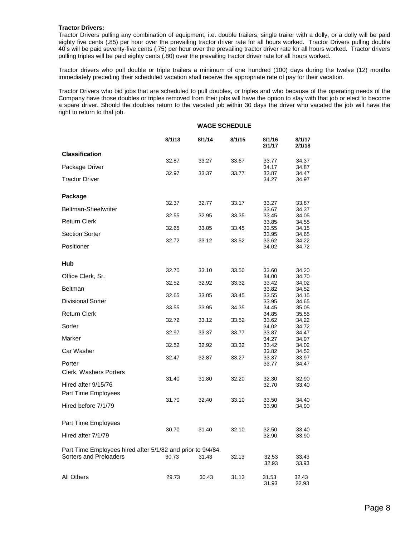# **Tractor Drivers:**

Tractor Drivers pulling any combination of equipment, i.e. double trailers, single trailer with a dolly, or a dolly will be paid eighty five cents (.85) per hour over the prevailing tractor driver rate for all hours worked. Tractor Drivers pulling double 40's will be paid seventy-five cents (.75) per hour over the prevailing tractor driver rate for all hours worked. Tractor drivers pulling triples will be paid eighty cents (.80) over the prevailing tractor driver rate for all hours worked.

Tractor drivers who pull double or triple trailers a minimum of one hundred (100) days during the twelve (12) months immediately preceding their scheduled vacation shall receive the appropriate rate of pay for their vacation.

Tractor Drivers who bid jobs that are scheduled to pull doubles, or triples and who because of the operating needs of the Company have those doubles or triples removed from their jobs will have the option to stay with that job or elect to become a spare driver. Should the doubles return to the vacated job within 30 days the driver who vacated the job will have the right to return to that job.

|                                                             |        | <b>WAGE SCHEDULE</b> |        |                  |                  |
|-------------------------------------------------------------|--------|----------------------|--------|------------------|------------------|
|                                                             | 8/1/13 | 8/1/14               | 8/1/15 | 8/1/16<br>2/1/17 | 8/1/17<br>2/1/18 |
| <b>Classification</b>                                       |        |                      |        |                  |                  |
| Package Driver                                              | 32.87  | 33.27                | 33.67  | 33.77<br>34.17   | 34.37<br>34.87   |
|                                                             | 32.97  | 33.37                | 33.77  | 33.87            | 34.47            |
| <b>Tractor Driver</b>                                       |        |                      |        | 34.27            | 34.97            |
|                                                             |        |                      |        |                  |                  |
| Package                                                     | 32.37  | 32.77                | 33.17  | 33.27            | 33.87            |
| Beltman-Sheetwriter                                         |        |                      |        | 33.67            | 34.37            |
| <b>Return Clerk</b>                                         | 32.55  | 32.95                | 33.35  | 33.45<br>33.85   | 34.05<br>34.55   |
|                                                             | 32.65  | 33.05                | 33.45  | 33.55            | 34.15            |
| <b>Section Sorter</b>                                       |        |                      |        | 33.95            | 34.65            |
| Positioner                                                  | 32.72  | 33.12                | 33.52  | 33.62<br>34.02   | 34.22<br>34.72   |
|                                                             |        |                      |        |                  |                  |
| Hub                                                         |        |                      |        |                  |                  |
|                                                             | 32.70  | 33.10                | 33.50  | 33.60            | 34.20            |
| Office Clerk, Sr.                                           | 32.52  | 32.92                | 33.32  | 34.00<br>33.42   | 34.70<br>34.02   |
| <b>Beltman</b>                                              |        |                      |        | 33.82            | 34.52            |
|                                                             | 32.65  | 33.05                | 33.45  | 33.55            | 34.15            |
| <b>Divisional Sorter</b>                                    | 33.55  | 33.95                | 34.35  | 33.95<br>34.45   | 34.65<br>35.05   |
| <b>Return Clerk</b>                                         |        |                      |        | 34.85            | 35.55            |
|                                                             | 32.72  | 33.12                | 33.52  | 33.62            | 34.22            |
| Sorter                                                      | 32.97  | 33.37                | 33.77  | 34.02<br>33.87   | 34.72<br>34.47   |
| Marker                                                      |        |                      |        | 34.27            | 34.97            |
|                                                             | 32.52  | 32.92                | 33.32  | 33.42            | 34.02            |
| Car Washer                                                  | 32.47  | 32.87                | 33.27  | 33.82<br>33.37   | 34.52<br>33.97   |
| Porter                                                      |        |                      |        | 33.77            | 34.47            |
| Clerk, Washers Porters                                      |        |                      |        |                  |                  |
|                                                             | 31.40  | 31.80                | 32.20  | 32.30            | 32.90            |
| Hired after 9/15/76                                         |        |                      |        | 32.70            | 33.40            |
| Part Time Employees                                         | 31.70  | 32.40                | 33.10  | 33.50            | 34.40            |
| Hired before 7/1/79                                         |        |                      |        | 33.90            | 34.90            |
|                                                             |        |                      |        |                  |                  |
| Part Time Employees                                         |        |                      |        |                  |                  |
| Hired after 7/1/79                                          | 30.70  | 31.40                | 32.10  | 32.50<br>32.90   | 33.40<br>33.90   |
|                                                             |        |                      |        |                  |                  |
| Part Time Employees hired after 5/1/82 and prior to 9/4/84. |        |                      |        |                  |                  |
| Sorters and Preloaders                                      | 30.73  | 31.43                | 32.13  | 32.53            | 33.43            |
|                                                             |        |                      |        | 32.93            | 33.93            |
| All Others                                                  | 29.73  | 30.43                | 31.13  | 31.53            | 32.43            |
|                                                             |        |                      |        | 31.93            | 32.93            |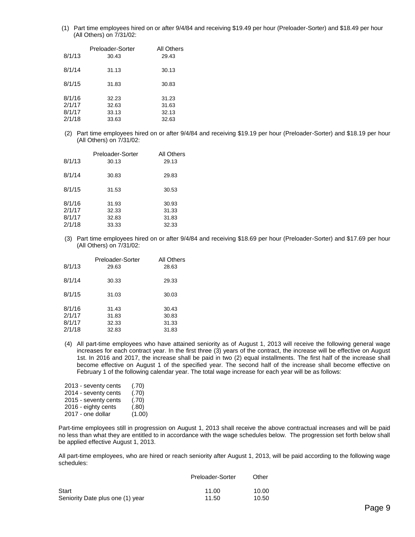(1) Part time employees hired on or after 9/4/84 and receiving \$19.49 per hour (Preloader-Sorter) and \$18.49 per hour (All Others) on 7/31/02:

| 8/1/13 | Preloader-Sorter<br>30.43 | All Others<br>29.43 |
|--------|---------------------------|---------------------|
| 8/1/14 | 31.13                     | 30.13               |
| 8/1/15 | 31.83                     | 30.83               |
| 8/1/16 | 32.23                     | 31.23               |
| 2/1/17 | 32.63                     | 31.63               |
| 8/1/17 | 33.13                     | 32.13               |
| 2/1/18 | 33.63                     | 32.63               |

(2) Part time employees hired on or after 9/4/84 and receiving \$19.19 per hour (Preloader-Sorter) and \$18.19 per hour (All Others) on 7/31/02:

| 8/1/13                               | Preloader-Sorter<br>30.13        | All Others<br>29.13              |
|--------------------------------------|----------------------------------|----------------------------------|
| 8/1/14                               | 30.83                            | 29.83                            |
| 8/1/15                               | 31.53                            | 30.53                            |
| 8/1/16<br>2/1/17<br>8/1/17<br>2/1/18 | 31.93<br>32.33<br>32.83<br>33.33 | 30.93<br>31.33<br>31.83<br>32.33 |

(3) Part time employees hired on or after 9/4/84 and receiving \$18.69 per hour (Preloader-Sorter) and \$17.69 per hour (All Others) on 7/31/02:

| 8/1/13                     | Preloader-Sorter<br>29.63 | All Others<br>28.63     |  |
|----------------------------|---------------------------|-------------------------|--|
| 8/1/14                     | 30.33                     | 29.33                   |  |
| 8/1/15                     | 31.03                     | 30.03                   |  |
| 8/1/16<br>2/1/17<br>8/1/17 | 31.43<br>31.83<br>32.33   | 30.43<br>30.83<br>31.33 |  |
| 2/1/18                     | 32.83                     | 31.83                   |  |

(4) All part-time employees who have attained seniority as of August 1, 2013 will receive the following general wage increases for each contract year. In the first three (3) years of the contract, the increase will be effective on August 1st. In 2016 and 2017, the increase shall be paid in two (2) equal installments. The first half of the increase shall become effective on August 1 of the specified year. The second half of the increase shall become effective on February 1 of the following calendar year. The total wage increase for each year will be as follows:

| (.70)  |
|--------|
| (.70)  |
| (.70)  |
| (.80)  |
| (1.00) |
|        |

Part-time employees still in progression on August 1, 2013 shall receive the above contractual increases and will be paid no less than what they are entitled to in accordance with the wage schedules below. The progression set forth below shall be applied effective August 1, 2013.

All part-time employees, who are hired or reach seniority after August 1, 2013, will be paid according to the following wage schedules:

|                                  | Preloader-Sorter | Other |
|----------------------------------|------------------|-------|
| Start                            | 11.00            | 10.00 |
| Seniority Date plus one (1) year | 11.50            | 10.50 |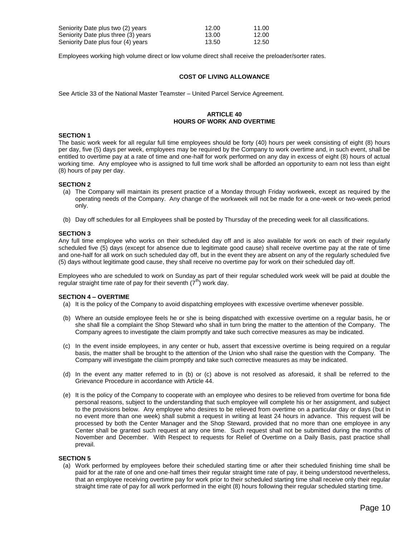| Seniority Date plus two (2) years   | 12.00 | 11.00 |
|-------------------------------------|-------|-------|
| Seniority Date plus three (3) years | 13.00 | 12.00 |
| Seniority Date plus four (4) years  | 13.50 | 12.50 |

Employees working high volume direct or low volume direct shall receive the preloader/sorter rates.

# **COST OF LIVING ALLOWANCE**

See Article 33 of the National Master Teamster – United Parcel Service Agreement.

# **ARTICLE 40 HOURS OF WORK AND OVERTIME**

# **SECTION 1**

The basic work week for all regular full time employees should be forty (40) hours per week consisting of eight (8) hours per day, five (5) days per week, employees may be required by the Company to work overtime and, in such event, shall be entitled to overtime pay at a rate of time and one-half for work performed on any day in excess of eight (8) hours of actual working time. Any employee who is assigned to full time work shall be afforded an opportunity to earn not less than eight (8) hours of pay per day.

#### **SECTION 2**

- (a) The Company will maintain its present practice of a Monday through Friday workweek, except as required by the operating needs of the Company. Any change of the workweek will not be made for a one-week or two-week period only.
- (b) Day off schedules for all Employees shall be posted by Thursday of the preceding week for all classifications.

#### **SECTION 3**

Any full time employee who works on their scheduled day off and is also available for work on each of their regularly scheduled five (5) days (except for absence due to legitimate good cause) shall receive overtime pay at the rate of time and one-half for all work on such scheduled day off, but in the event they are absent on any of the regularly scheduled five (5) days without legitimate good cause, they shall receive no overtime pay for work on their scheduled day off.

Employees who are scheduled to work on Sunday as part of their regular scheduled work week will be paid at double the regular straight time rate of pay for their seventh  $(7<sup>th</sup>)$  work day.

#### **SECTION 4 – OVERTIME**

- (a) It is the policy of the Company to avoid dispatching employees with excessive overtime whenever possible.
- (b) Where an outside employee feels he or she is being dispatched with excessive overtime on a regular basis, he or she shall file a complaint the Shop Steward who shall in turn bring the matter to the attention of the Company. The Company agrees to investigate the claim promptly and take such corrective measures as may be indicated.
- (c) In the event inside employees, in any center or hub, assert that excessive overtime is being required on a regular basis, the matter shall be brought to the attention of the Union who shall raise the question with the Company. The Company will investigate the claim promptly and take such corrective measures as may be indicated.
- (d) In the event any matter referred to in (b) or (c) above is not resolved as aforesaid, it shall be referred to the Grievance Procedure in accordance with Article 44.
- (e) It is the policy of the Company to cooperate with an employee who desires to be relieved from overtime for bona fide personal reasons, subject to the understanding that such employee will complete his or her assignment, and subject to the provisions below. Any employee who desires to be relieved from overtime on a particular day or days (but in no event more than one week) shall submit a request in writing at least 24 hours in advance. This request will be processed by both the Center Manager and the Shop Steward, provided that no more than one employee in any Center shall be granted such request at any one time. Such request shall not be submitted during the months of November and December. With Respect to requests for Relief of Overtime on a Daily Basis, past practice shall prevail.

#### **SECTION 5**

(a) Work performed by employees before their scheduled starting time or after their scheduled finishing time shall be paid for at the rate of one and one-half times their regular straight time rate of pay, it being understood nevertheless, that an employee receiving overtime pay for work prior to their scheduled starting time shall receive only their regular straight time rate of pay for all work performed in the eight (8) hours following their regular scheduled starting time.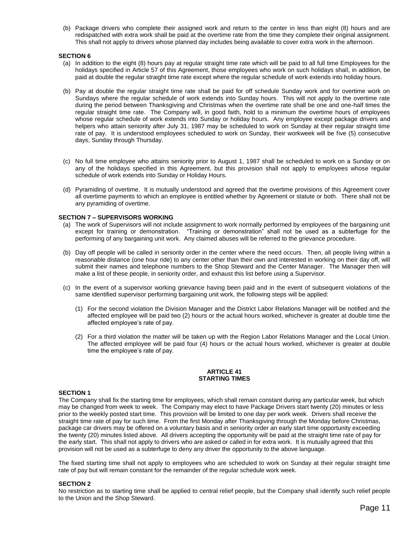(b) Package drivers who complete their assigned work and return to the center in less than eight (8) hours and are redispatched with extra work shall be paid at the overtime rate from the time they complete their original assignment. This shall not apply to drivers whose planned day includes being available to cover extra work in the afternoon.

# **SECTION 6**

- (a) In addition to the eight (8) hours pay at regular straight time rate which will be paid to all full time Employees for the holidays specified in Article 57 of this Agreement, those employees who work on such holidays shall, in addition, be paid at double the regular straight time rate except where the regular schedule of work extends into holiday hours.
- (b) Pay at double the regular straight time rate shall be paid for off schedule Sunday work and for overtime work on Sundays where the regular schedule of work extends into Sunday hours. This will not apply to the overtime rate during the period between Thanksgiving and Christmas when the overtime rate shall be one and one-half times the regular straight time rate. The Company will, in good faith, hold to a minimum the overtime hours of employees whose regular schedule of work extends into Sunday or holiday hours. Any employee except package drivers and helpers who attain seniority after July 31, 1987 may be scheduled to work on Sunday at their regular straight time rate of pay. It is understood employees scheduled to work on Sunday, their workweek will be five (5) consecutive days, Sunday through Thursday.
- (c) No full time employee who attains seniority prior to August 1, 1987 shall be scheduled to work on a Sunday or on any of the holidays specified in this Agreement, but this provision shall not apply to employees whose regular schedule of work extends into Sunday or Holiday Hours.
- (d) Pyramiding of overtime. It is mutually understood and agreed that the overtime provisions of this Agreement cover all overtime payments to which an employee is entitled whether by Agreement or statute or both. There shall not be any pyramiding of overtime.

# **SECTION 7 – SUPERVISORS WORKING**

- (a) The work of Supervisors will not include assignment to work normally performed by employees of the bargaining unit except for training or demonstration. "Training or demonstration" shall not be used as a subterfuge for the performing of any bargaining unit work. Any claimed abuses will be referred to the grievance procedure.
- (b) Day off people will be called in seniority order in the center where the need occurs. Then, all people living within a reasonable distance (one hour ride) to any center other than their own and interested in working on their day off, will submit their names and telephone numbers to the Shop Steward and the Center Manager. The Manager then will make a list of these people, in seniority order, and exhaust this list before using a Supervisor.
- (c) In the event of a supervisor working grievance having been paid and in the event of subsequent violations of the same identified supervisor performing bargaining unit work, the following steps will be applied:
	- (1) For the second violation the Division Manager and the District Labor Relations Manager will be notified and the affected employee will be paid two (2) hours or the actual hours worked, whichever is greater at double time the affected employee's rate of pay.
	- (2) For a third violation the matter will be taken up with the Region Labor Relations Manager and the Local Union. The affected employee will be paid four (4) hours or the actual hours worked, whichever is greater at double time the employee's rate of pay.

#### **ARTICLE 41 STARTING TIMES**

# **SECTION 1**

The Company shall fix the starting time for employees, which shall remain constant during any particular week, but which may be changed from week to week. The Company may elect to have Package Drivers start twenty (20) minutes or less prior to the weekly posted start time. This provision will be limited to one day per work week. Drivers shall receive the straight time rate of pay for such time. From the first Monday after Thanksgiving through the Monday before Christmas, package car drivers may be offered on a voluntary basis and in seniority order an early start time opportunity exceeding the twenty (20) minutes listed above. All drivers accepting the opportunity will be paid at the straight time rate of pay for the early start. This shall not apply to drivers who are asked or called in for extra work. It is mutually agreed that this provision will not be used as a subterfuge to deny any driver the opportunity to the above language.

The fixed starting time shall not apply to employees who are scheduled to work on Sunday at their regular straight time rate of pay but will remain constant for the remainder of the regular schedule work week.

#### **SECTION 2**

No restriction as to starting time shall be applied to central relief people, but the Company shall identify such relief people to the Union and the Shop Steward.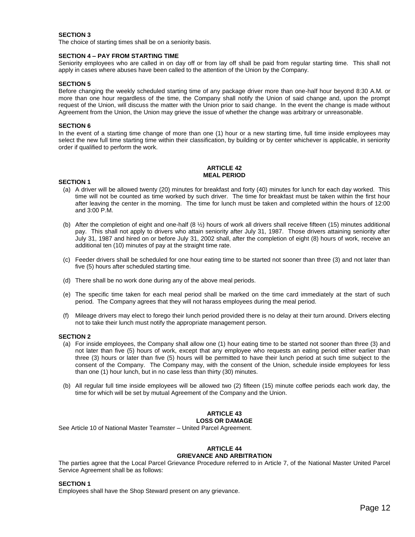The choice of starting times shall be on a seniority basis.

#### **SECTION 4 – PAY FROM STARTING TIME**

Seniority employees who are called in on day off or from lay off shall be paid from regular starting time. This shall not apply in cases where abuses have been called to the attention of the Union by the Company.

# **SECTION 5**

Before changing the weekly scheduled starting time of any package driver more than one-half hour beyond 8:30 A.M. or more than one hour regardless of the time, the Company shall notify the Union of said change and, upon the prompt request of the Union, will discuss the matter with the Union prior to said change. In the event the change is made without Agreement from the Union, the Union may grieve the issue of whether the change was arbitrary or unreasonable.

#### **SECTION 6**

In the event of a starting time change of more than one (1) hour or a new starting time, full time inside employees may select the new full time starting time within their classification, by building or by center whichever is applicable, in seniority order if qualified to perform the work.

# **ARTICLE 42 MEAL PERIOD**

#### **SECTION 1**

- (a) A driver will be allowed twenty (20) minutes for breakfast and forty (40) minutes for lunch for each day worked. This time will not be counted as time worked by such driver. The time for breakfast must be taken within the first hour after leaving the center in the morning. The time for lunch must be taken and completed within the hours of 12:00 and 3:00 P.M.
- (b) After the completion of eight and one-half (8 ½) hours of work all drivers shall receive fifteen (15) minutes additional pay. This shall not apply to drivers who attain seniority after July 31, 1987. Those drivers attaining seniority after July 31, 1987 and hired on or before July 31, 2002 shall, after the completion of eight (8) hours of work, receive an additional ten (10) minutes of pay at the straight time rate.
- (c) Feeder drivers shall be scheduled for one hour eating time to be started not sooner than three (3) and not later than five (5) hours after scheduled starting time.
- (d) There shall be no work done during any of the above meal periods.
- (e) The specific time taken for each meal period shall be marked on the time card immediately at the start of such period. The Company agrees that they will not harass employees during the meal period.
- (f) Mileage drivers may elect to forego their lunch period provided there is no delay at their turn around. Drivers electing not to take their lunch must notify the appropriate management person.

#### **SECTION 2**

- (a) For inside employees, the Company shall allow one (1) hour eating time to be started not sooner than three (3) and not later than five (5) hours of work, except that any employee who requests an eating period either earlier than three (3) hours or later than five (5) hours will be permitted to have their lunch period at such time subject to the consent of the Company. The Company may, with the consent of the Union, schedule inside employees for less than one (1) hour lunch, but in no case less than thirty (30) minutes.
- (b) All regular full time inside employees will be allowed two (2) fifteen (15) minute coffee periods each work day, the time for which will be set by mutual Agreement of the Company and the Union.

#### **ARTICLE 43 LOSS OR DAMAGE**

See Article 10 of National Master Teamster – United Parcel Agreement.

#### **ARTICLE 44 GRIEVANCE AND ARBITRATION**

The parties agree that the Local Parcel Grievance Procedure referred to in Article 7, of the National Master United Parcel Service Agreement shall be as follows:

#### **SECTION 1**

Employees shall have the Shop Steward present on any grievance.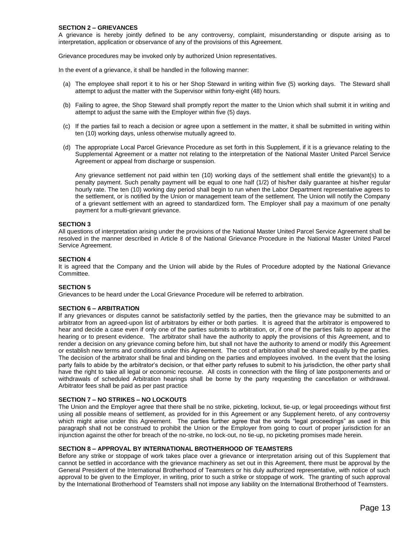#### **SECTION 2 – GRIEVANCES**

A grievance is hereby jointly defined to be any controversy, complaint, misunderstanding or dispute arising as to interpretation, application or observance of any of the provisions of this Agreement.

Grievance procedures may be invoked only by authorized Union representatives.

In the event of a grievance, it shall be handled in the following manner:

- (a) The employee shall report it to his or her Shop Steward in writing within five (5) working days. The Steward shall attempt to adjust the matter with the Supervisor within forty-eight (48) hours.
- (b) Failing to agree, the Shop Steward shall promptly report the matter to the Union which shall submit it in writing and attempt to adjust the same with the Employer within five (5) days.
- (c) If the parties fail to reach a decision or agree upon a settlement in the matter, it shall be submitted in writing within ten (10) working days, unless otherwise mutually agreed to.
- (d) The appropriate Local Parcel Grievance Procedure as set forth in this Supplement, if it is a grievance relating to the Supplemental Agreement or a matter not relating to the interpretation of the National Master United Parcel Service Agreement or appeal from discharge or suspension.

Any grievance settlement not paid within ten (10) working days of the settlement shall entitle the grievant(s) to a penalty payment. Such penalty payment will be equal to one half (1/2) of his/her daily guarantee at his/her regular hourly rate. The ten (10) working day period shall begin to run when the Labor Department representative agrees to the settlement, or is notified by the Union or management team of the settlement. The Union will notify the Company of a grievant settlement with an agreed to standardized form. The Employer shall pay a maximum of one penalty payment for a multi-grievant grievance.

# **SECTION 3**

All questions of interpretation arising under the provisions of the National Master United Parcel Service Agreement shall be resolved in the manner described in Article 8 of the National Grievance Procedure in the National Master United Parcel Service Agreement.

# **SECTION 4**

It is agreed that the Company and the Union will abide by the Rules of Procedure adopted by the National Grievance Committee.

#### **SECTION 5**

Grievances to be heard under the Local Grievance Procedure will be referred to arbitration.

# **SECTION 6 – ARBITRATION**

If any grievances or disputes cannot be satisfactorily settled by the parties, then the grievance may be submitted to an arbitrator from an agreed-upon list of arbitrators by either or both parties. It is agreed that the arbitrator is empowered to hear and decide a case even if only one of the parties submits to arbitration, or, if one of the parties fails to appear at the hearing or to present evidence. The arbitrator shall have the authority to apply the provisions of this Agreement, and to render a decision on any grievance coming before him, but shall not have the authority to amend or modify this Agreement or establish new terms and conditions under this Agreement. The cost of arbitration shall be shared equally by the parties. The decision of the arbitrator shall be final and binding on the parties and employees involved. In the event that the losing party fails to abide by the arbitrator's decision, or that either party refuses to submit to his jurisdiction, the other party shall have the right to take all legal or economic recourse. All costs in connection with the filing of late postponements and or withdrawals of scheduled Arbitration hearings shall be borne by the party requesting the cancellation or withdrawal. Arbitrator fees shall be paid as per past practice

# **SECTION 7 – NO STRIKES – NO LOCKOUTS**

The Union and the Employer agree that there shall be no strike, picketing, lockout, tie-up, or legal proceedings without first using all possible means of settlement, as provided for in this Agreement or any Supplement hereto, of any controversy which might arise under this Agreement. The parties further agree that the words "legal proceedings" as used in this paragraph shall not be construed to prohibit the Union or the Employer from going to court of proper jurisdiction for an injunction against the other for breach of the no-strike, no lock-out, no tie-up, no picketing promises made herein.

#### **SECTION 8 – APPROVAL BY INTERNATIONAL BROTHERHOOD OF TEAMSTERS**

Before any strike or stoppage of work takes place over a grievance or interpretation arising out of this Supplement that cannot be settled in accordance with the grievance machinery as set out in this Agreement, there must be approval by the General President of the International Brotherhood of Teamsters or his duly authorized representative, with notice of such approval to be given to the Employer, in writing, prior to such a strike or stoppage of work. The granting of such approval by the International Brotherhood of Teamsters shall not impose any liability on the International Brotherhood of Teamsters.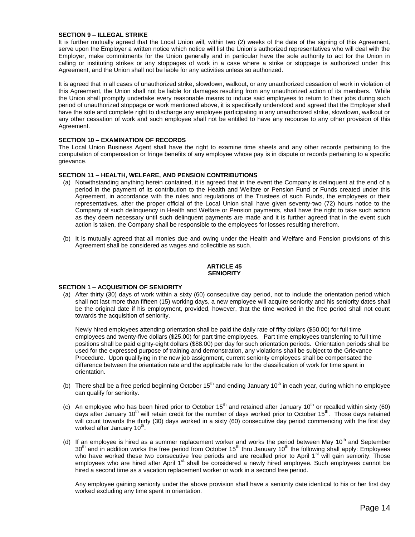# **SECTION 9 – ILLEGAL STRIKE**

It is further mutually agreed that the Local Union will, within two (2) weeks of the date of the signing of this Agreement, serve upon the Employer a written notice which notice will list the Union's authorized representatives who will deal with the Employer, make commitments for the Union generally and in particular have the sole authority to act for the Union in calling or instituting strikes or any stoppages of work in a case where a strike or stoppage is authorized under this Agreement, and the Union shall not be liable for any activities unless so authorized.

It is agreed that in all cases of unauthorized strike, slowdown, walkout, or any unauthorized cessation of work in violation of this Agreement, the Union shall not be liable for damages resulting from any unauthorized action of its members. While the Union shall promptly undertake every reasonable means to induce said employees to return to their jobs during such period of unauthorized stoppage **or** work mentioned above, it is specifically understood and agreed that the Employer shall have the sole and complete right to discharge any employee participating in any unauthorized strike, slowdown, walkout or any other cessation of work and such employee shall not be entitled to have any recourse to any other provision of this Agreement.

# **SECTION 10 – EXAMINATION OF RECORDS**

The Local Union Business Agent shall have the right to examine time sheets and any other records pertaining to the computation of compensation or fringe benefits of any employee whose pay is in dispute or records pertaining to a specific grievance.

# **SECTION 11 – HEALTH, WELFARE, AND PENSION CONTRIBUTIONS**

- (a) Notwithstanding anything herein contained, it is agreed that in the event the Company is delinquent at the end of a period in the payment of its contribution to the Health and Welfare or Pension Fund or Funds created under this Agreement, in accordance with the rules and regulations of the Trustees of such Funds, the employees or their representatives, after the proper official of the Local Union shall have given seventy-two (72) hours notice to the Company of such delinquency in Health and Welfare or Pension payments, shall have the right to take such action as they deem necessary until such delinquent payments are made and it is further agreed that in the event such action is taken, the Company shall be responsible to the employees for losses resulting therefrom.
- (b) It is mutually agreed that all monies due and owing under the Health and Welfare and Pension provisions of this Agreement shall be considered as wages and collectible as such.

#### **ARTICLE 45 SENIORITY**

#### **SECTION 1 – ACQUISITION OF SENIORITY**

(a) After thirty (30) days of work within a sixty (60) consecutive day period, not to include the orientation period which shall not last more than fifteen (15) working days, a new employee will acquire seniority and his seniority dates shall be the original date if his employment, provided, however, that the time worked in the free period shall not count towards the acquisition of seniority.

Newly hired employees attending orientation shall be paid the daily rate of fifty dollars (\$50.00) for full time employees and twenty-five dollars (\$25.00) for part time employees. Part time employees transferring to full time positions shall be paid eighty-eight dollars (\$88.00) per day for such orientation periods. Orientation periods shall be used for the expressed purpose of training and demonstration, any violations shall be subject to the Grievance Procedure. Upon qualifying in the new job assignment, current seniority employees shall be compensated the difference between the orientation rate and the applicable rate for the classification of work for time spent in orientation.

- (b) There shall be a free period beginning October 15<sup>th</sup> and ending January 10<sup>th</sup> in each year, during which no employee can qualify for seniority.
- (c) An employee who has been hired prior to October 15<sup>th</sup> and retained after January 10<sup>th</sup> or recalled within sixty (60) days after January 10<sup>th</sup> will retain credit for the number of days worked prior to October 15<sup>th</sup>. Those days retained will count towards the thirty (30) days worked in a sixty (60) consecutive day period commencing with the first day worked after January 10<sup>th</sup>.
- (d) If an employee is hired as a summer replacement worker and works the period between May 10<sup>th</sup> and September 30<sup>th</sup> and in addition works the free period from October 15<sup>th</sup> thru January 10<sup>th</sup> the following shall apply: Employees who have worked these two consecutive free periods and are recalled prior to April 1<sup>st</sup> will gain seniority. Those employees who are hired after April 1<sup>st</sup> shall be considered a newly hired employee. Such employees cannot be hired a second time as a vacation replacement worker or work in a second free period.

Any employee gaining seniority under the above provision shall have a seniority date identical to his or her first day worked excluding any time spent in orientation.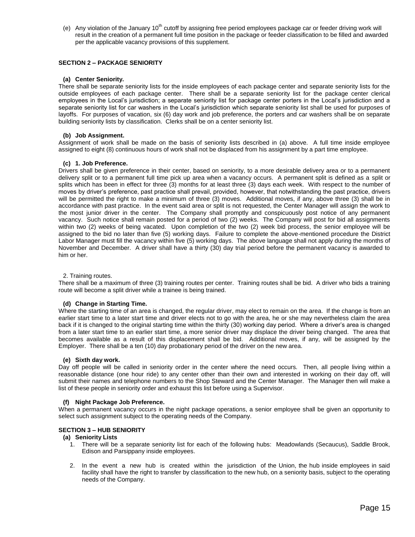(e) Any violation of the January  $10<sup>th</sup>$  cutoff by assigning free period employees package car or feeder driving work will result in the creation of a permanent full time position in the package or feeder classification to be filled and awarded per the applicable vacancy provisions of this supplement.

# **SECTION 2 – PACKAGE SENIORITY**

# **(a) Center Seniority.**

There shall be separate seniority lists for the inside employees of each package center and separate seniority lists for the outside employees of each package center. There shall be a separate seniority list for the package center clerical employees in the Local's jurisdiction; a separate seniority list for package center porters in the Local's jurisdiction and a separate seniority list for car washers in the Local's jurisdiction which separate seniority list shall be used for purposes of layoffs. For purposes of vacation, six (6) day work and job preference, the porters and car washers shall be on separate building seniority lists by classification. Clerks shall be on a center seniority list.

# **(b) Job Assignment.**

Assignment of work shall be made on the basis of seniority lists described in (a) above. A full time inside employee assigned to eight (8) continuous hours of work shall not be displaced from his assignment by a part time employee.

# **(c) 1. Job Preference.**

Drivers shall be given preference in their center, based on seniority, to a more desirable delivery area or to a permanent delivery split or to a permanent full time pick up area when a vacancy occurs. A permanent split is defined as a split or splits which has been in effect for three (3) months for at least three (3) days each week. With respect to the number of moves by driver's preference, past practice shall prevail, provided, however, that notwithstanding the past practice, drivers will be permitted the right to make a minimum of three (3) moves. Additional moves, if any, above three (3) shall be in accordance with past practice. In the event said area or split is not requested, the Center Manager will assign the work to the most junior driver in the center. The Company shall promptly and conspicuously post notice of any permanent vacancy. Such notice shall remain posted for a period of two (2) weeks. The Company will post for bid all assignments within two (2) weeks of being vacated. Upon completion of the two (2) week bid process, the senior employee will be assigned to the bid no later than five (5) working days. Failure to complete the above-mentioned procedure the District Labor Manager must fill the vacancy within five (5) working days. The above language shall not apply during the months of November and December. A driver shall have a thirty (30) day trial period before the permanent vacancy is awarded to him or her.

# 2. Training routes.

There shall be a maximum of three (3) training routes per center. Training routes shall be bid. A driver who bids a training route will become a split driver while a trainee is being trained.

# **(d) Change in Starting Time.**

Where the starting time of an area is changed, the regular driver, may elect to remain on the area. If the change is from an earlier start time to a later start time and driver elects not to go with the area, he or she may nevertheless claim the area back if it is changed to the original starting time within the thirty (30) working day period. Where a driver's area is changed from a later start time to an earlier start time, a more senior driver may displace the driver being changed. The area that becomes available as a result of this displacement shall be bid. Additional moves, if any, will be assigned by the Employer. There shall be a ten (10) day probationary period of the driver on the new area.

# **(e) Sixth day work.**

Day off people will be called in seniority order in the center where the need occurs. Then, all people living within a reasonable distance (one hour ride) to any center other than their own and interested in working on their day off, will submit their names and telephone numbers to the Shop Steward and the Center Manager. The Manager then will make a list of these people in seniority order and exhaust this list before using a Supervisor.

# **(f) Night Package Job Preference.**

When a permanent vacancy occurs in the night package operations, a senior employee shall be given an opportunity to select such assignment subject to the operating needs of the Company.

# **SECTION 3 – HUB SENIORITY**

# **(a) Seniority Lists**

- 1. There will be a separate seniority list for each of the following hubs: Meadowlands (Secaucus), Saddle Brook, Edison and Parsippany inside employees.
- 2. In the event a new hub is created within the jurisdiction of the Union, the hub inside employees in said facility shall have the right to transfer by classification to the new hub, on a seniority basis, subject to the operating needs of the Company.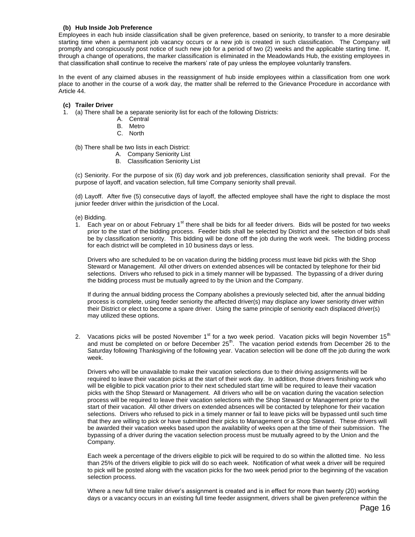# **(b) Hub Inside Job Preference**

Employees in each hub inside classification shall be given preference, based on seniority, to transfer to a more desirable starting time when a permanent job vacancy occurs or a new job is created in such classification. The Company will promptly and conspicuously post notice of such new job for a period of two (2) weeks and the applicable starting time. If, through a change of operations, the marker classification is eliminated in the Meadowlands Hub, the existing employees in that classification shall continue to receive the markers' rate of pay unless the employee voluntarily transfers.

In the event of any claimed abuses in the reassignment of hub inside employees within a classification from one work place to another in the course of a work day, the matter shall be referred to the Grievance Procedure in accordance with Article 44.

#### **(c) Trailer Driver**

- 1. (a) There shall be a separate seniority list for each of the following Districts:
	- A. Central
	- B. Metro
	- C. North

(b) There shall be two lists in each District:

- A. Company Seniority List
- B. Classification Seniority List

(c) Seniority. For the purpose of six (6) day work and job preferences, classification seniority shall prevail. For the purpose of layoff, and vacation selection, full time Company seniority shall prevail.

(d) Layoff. After five (5) consecutive days of layoff, the affected employee shall have the right to displace the most junior feeder driver within the jurisdiction of the Local.

- (e) Bidding.
- $1.$  Each year on or about February 1<sup>st</sup> there shall be bids for all feeder drivers. Bids will be posted for two weeks prior to the start of the bidding process. Feeder bids shall be selected by District and the selection of bids shall be by classification seniority. This bidding will be done off the job during the work week. The bidding process for each district will be completed in 10 business days or less.

Drivers who are scheduled to be on vacation during the bidding process must leave bid picks with the Shop Steward or Management. All other drivers on extended absences will be contacted by telephone for their bid selections. Drivers who refused to pick in a timely manner will be bypassed. The bypassing of a driver during the bidding process must be mutually agreed to by the Union and the Company.

If during the annual bidding process the Company abolishes a previously selected bid, after the annual bidding process is complete, using feeder seniority the affected driver(s) may displace any lower seniority driver within their District or elect to become a spare driver. Using the same principle of seniority each displaced driver(s) may utilized these options.

2. Vacations picks will be posted November 1<sup>st</sup> for a two week period. Vacation picks will begin November 15<sup>th</sup> and must be completed on or before December 25<sup>th</sup>. The vacation period extends from December 26 to the Saturday following Thanksgiving of the following year. Vacation selection will be done off the job during the work week.

Drivers who will be unavailable to make their vacation selections due to their driving assignments will be required to leave their vacation picks at the start of their work day. In addition, those drivers finishing work who will be eligible to pick vacation prior to their next scheduled start time will be required to leave their vacation picks with the Shop Steward or Management. All drivers who will be on vacation during the vacation selection process will be required to leave their vacation selections with the Shop Steward or Management prior to the start of their vacation. All other drivers on extended absences will be contacted by telephone for their vacation selections. Drivers who refused to pick in a timely manner or fail to leave picks will be bypassed until such time that they are willing to pick or have submitted their picks to Management or a Shop Steward. These drivers will be awarded their vacation weeks based upon the availability of weeks open at the time of their submission. The bypassing of a driver during the vacation selection process must be mutually agreed to by the Union and the Company.

Each week a percentage of the drivers eligible to pick will be required to do so within the allotted time. No less than 25% of the drivers eligible to pick will do so each week. Notification of what week a driver will be required to pick will be posted along with the vacation picks for the two week period prior to the beginning of the vacation selection process.

Where a new full time trailer driver's assignment is created and is in effect for more than twenty (20) working days or a vacancy occurs in an existing full time feeder assignment, drivers shall be given preference within the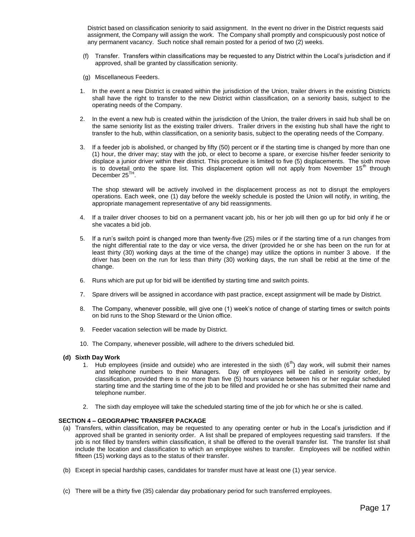District based on classification seniority to said assignment. In the event no driver in the District requests said assignment, the Company will assign the work. The Company shall promptly and conspicuously post notice of any permanent vacancy. Such notice shall remain posted for a period of two (2) weeks.

- (f) Transfer. Transfers within classifications may be requested to any District within the Local's jurisdiction and if approved, shall be granted by classification seniority.
- (g) Miscellaneous Feeders.
- 1. In the event a new District is created within the jurisdiction of the Union, trailer drivers in the existing Districts shall have the right to transfer to the new District within classification, on a seniority basis, subject to the operating needs of the Company.
- 2. In the event a new hub is created within the jurisdiction of the Union, the trailer drivers in said hub shall be on the same seniority list as the existing trailer drivers. Trailer drivers in the existing hub shall have the right to transfer to the hub, within classification, on a seniority basis, subject to the operating needs of the Company.
- 3. If a feeder job is abolished, or changed by fifty (50) percent or if the starting time is changed by more than one (1) hour, the driver may; stay with the job, or elect to become a spare, or exercise his/her feeder seniority to displace a junior driver within their district. This procedure is limited to five (5) displacements. The sixth move is to dovetail onto the spare list. This displacement option will not apply from November  $15<sup>th</sup>$  through December 25<sup>TH</sup>.

The shop steward will be actively involved in the displacement process as not to disrupt the employers operations. Each week, one (1) day before the weekly schedule is posted the Union will notify, in writing, the appropriate management representative of any bid reassignments.

- 4. If a trailer driver chooses to bid on a permanent vacant job, his or her job will then go up for bid only if he or she vacates a bid job.
- 5. If a run's switch point is changed more than twenty-five (25) miles or if the starting time of a run changes from the night differential rate to the day or vice versa, the driver (provided he or she has been on the run for at least thirty (30) working days at the time of the change) may utilize the options in number 3 above. If the driver has been on the run for less than thirty (30) working days, the run shall be rebid at the time of the change.
- 6. Runs which are put up for bid will be identified by starting time and switch points.
- 7. Spare drivers will be assigned in accordance with past practice, except assignment will be made by District.
- 8. The Company, whenever possible, will give one (1) week's notice of change of starting times or switch points on bid runs to the Shop Steward or the Union office.
- 9. Feeder vacation selection will be made by District.
- 10. The Company, whenever possible, will adhere to the drivers scheduled bid.

# **(d) Sixth Day Work**

- 1. Hub employees (inside and outside) who are interested in the sixth  $(6<sup>th</sup>)$  day work, will submit their names and telephone numbers to their Managers. Day off employees will be called in seniority order, by classification, provided there is no more than five (5) hours variance between his or her regular scheduled starting time and the starting time of the job to be filled and provided he or she has submitted their name and telephone number.
- 2. The sixth day employee will take the scheduled starting time of the job for which he or she is called.

# **SECTION 4 – GEOGRAPHIC TRANSFER PACKAGE**

- (a) Transfers, within classification, may be requested to any operating center or hub in the Local's jurisdiction and if approved shall be granted in seniority order. A list shall be prepared of employees requesting said transfers. If the job is not filled by transfers within classification, it shall be offered to the overall transfer list. The transfer list shall include the location and classification to which an employee wishes to transfer. Employees will be notified within fifteen (15) working days as to the status of their transfer.
- (b) Except in special hardship cases, candidates for transfer must have at least one (1) year service.
- (c) There will be a thirty five (35) calendar day probationary period for such transferred employees.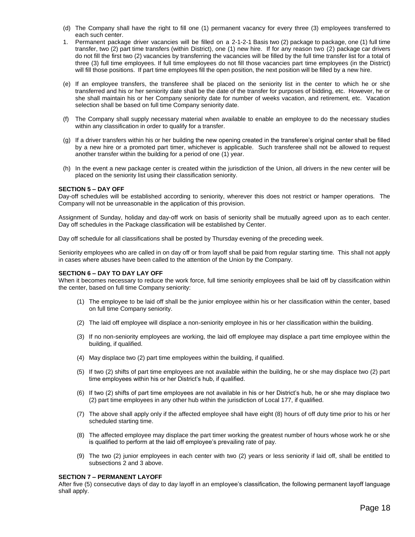- (d) The Company shall have the right to fill one (1) permanent vacancy for every three (3) employees transferred to each such center.
- 1. Permanent package driver vacancies will be filled on a 2-1-2-1 Basis two (2) package to package, one (1) full time transfer, two (2) part time transfers (within District), one (1) new hire. If for any reason two (2) package car drivers do not fill the first two (2) vacancies by transferring the vacancies will be filled by the full time transfer list for a total of three (3) full time employees. If full time employees do not fill those vacancies part time employees (in the District) will fill those positions. If part time employees fill the open position, the next position will be filled by a new hire.
- (e) If an employee transfers, the transferee shall be placed on the seniority list in the center to which he or she transferred and his or her seniority date shall be the date of the transfer for purposes of bidding, etc. However, he or she shall maintain his or her Company seniority date for number of weeks vacation, and retirement, etc. Vacation selection shall be based on full time Company seniority date.
- (f) The Company shall supply necessary material when available to enable an employee to do the necessary studies within any classification in order to qualify for a transfer.
- (g) If a driver transfers within his or her building the new opening created in the transferee's original center shall be filled by a new hire or a promoted part timer, whichever is applicable. Such transferee shall not be allowed to request another transfer within the building for a period of one (1) year.
- (h) In the event a new package center is created within the jurisdiction of the Union, all drivers in the new center will be placed on the seniority list using their classification seniority.

# **SECTION 5 – DAY OFF**

Day-off schedules will be established according to seniority, wherever this does not restrict or hamper operations. The Company will not be unreasonable in the application of this provision.

Assignment of Sunday, holiday and day-off work on basis of seniority shall be mutually agreed upon as to each center. Day off schedules in the Package classification will be established by Center.

Day off schedule for all classifications shall be posted by Thursday evening of the preceding week.

Seniority employees who are called in on day off or from layoff shall be paid from regular starting time. This shall not apply in cases where abuses have been called to the attention of the Union by the Company.

# **SECTION 6 – DAY TO DAY LAY OFF**

When it becomes necessary to reduce the work force, full time seniority employees shall be laid off by classification within the center, based on full time Company seniority:

- (1) The employee to be laid off shall be the junior employee within his or her classification within the center, based on full time Company seniority.
- (2) The laid off employee will displace a non-seniority employee in his or her classification within the building.
- (3) If no non-seniority employees are working, the laid off employee may displace a part time employee within the building, if qualified.
- (4) May displace two (2) part time employees within the building, if qualified.
- (5) If two (2) shifts of part time employees are not available within the building, he or she may displace two (2) part time employees within his or her District's hub, if qualified.
- (6) If two (2) shifts of part time employees are not available in his or her District's hub, he or she may displace two (2) part time employees in any other hub within the jurisdiction of Local 177, if qualified.
- (7) The above shall apply only if the affected employee shall have eight (8) hours of off duty time prior to his or her scheduled starting time.
- (8) The affected employee may displace the part timer working the greatest number of hours whose work he or she is qualified to perform at the laid off employee's prevailing rate of pay.
- (9) The two (2) junior employees in each center with two (2) years or less seniority if laid off, shall be entitled to subsections 2 and 3 above.

#### **SECTION 7 – PERMANENT LAYOFF**

After five (5) consecutive days of day to day layoff in an employee's classification, the following permanent layoff language shall apply.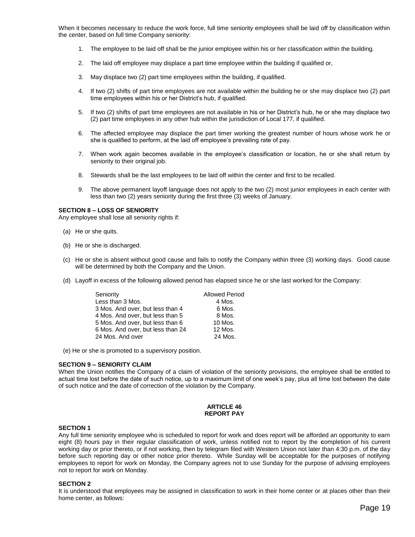When it becomes necessary to reduce the work force, full time seniority employees shall be laid off by classification within the center, based on full time Company seniority:

- 1. The employee to be laid off shall be the junior employee within his or her classification within the building.
- 2. The laid off employee may displace a part time employee within the building if qualified or,
- 3. May displace two (2) part time employees within the building, if qualified.
- 4. If two (2) shifts of part time employees are not available within the building he or she may displace two (2) part time employees within his or her District's hub, if qualified.
- 5. If two (2) shifts of part time employees are not available in his or her District's hub, he or she may displace two (2) part time employees in any other hub within the jurisdiction of Local 177, if qualified.
- 6. The affected employee may displace the part timer working the greatest number of hours whose work he or she is qualified to perform, at the laid off employee's prevailing rate of pay.
- 7. When work again becomes available in the employee's classification or location, he or she shall return by seniority to their original job.
- 8. Stewards shall be the last employees to be laid off within the center and first to be recalled.
- 9. The above permanent layoff language does not apply to the two (2) most junior employees in each center with less than two (2) years seniority during the first three (3) weeks of January.

#### **SECTION 8 – LOSS OF SENIORITY**

Any employee shall lose all seniority rights if:

- (a) He or she quits.
- (b) He or she is discharged.
- (c) He or she is absent without good cause and fails to notify the Company within three (3) working days. Good cause will be determined by both the Company and the Union.
- (d) Layoff in excess of the following allowed period has elapsed since he or she last worked for the Company:

| Seniority                         | <b>Allowed Period</b> |
|-----------------------------------|-----------------------|
| Less than 3 Mos.                  | 4 Mos.                |
| 3 Mos. And over, but less than 4  | 6 Mos.                |
| 4 Mos. And over, but less than 5  | 8 Mos.                |
| 5 Mos. And over, but less than 6  | 10 Mos.               |
| 6 Mos. And over, but less than 24 | 12 Mos.               |
| 24 Mos. And over                  | 24 Mos.               |

(e) He or she is promoted to a supervisory position.

# **SECTION 9 – SENIORITY CLAIM**

When the Union notifies the Company of a claim of violation of the seniority provisions, the employee shall be entitled to actual time lost before the date of such notice, up to a maximum limit of one week's pay, plus all time lost between the date of such notice and the date of correction of the violation by the Company.

#### **ARTICLE 46 REPORT PAY**

# **SECTION 1**

Any full time seniority employee who is scheduled to report for work and does report will be afforded an opportunity to earn eight (8) hours pay in their regular classification of work, unless notified not to report by the **c**ompletion of his current working day or prior thereto, or if not working, then by telegram filed with Western Union not later than 4:30 p.m. of the day before such reporting day or other notice prior thereto. While Sunday will be acceptable for the purposes of notifying employees to report for work on Monday, the Company agrees not to use Sunday for the purpose of advising employees not to report for work on Monday.

#### **SECTION 2**

It is understood that employees may be assigned in classification to work in their home center or at places other than their home center, as follows: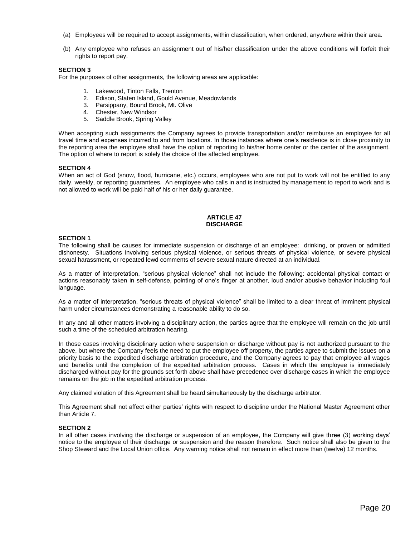- (a) Employees will be required to accept assignments, within classification, when ordered, anywhere within their area.
- (b) Any employee who refuses an assignment out of his/her classification under the above conditions will forfeit their rights to report pay.

For the purposes of other assignments, the following areas are applicable:

- 1. Lakewood, Tinton Falls, Trenton
- 2. Edison, Staten Island, Gould Avenue, Meadowlands
- 3. Parsippany, Bound Brook, Mt. Olive
- 4. Chester, New Windsor
- 5. Saddle Brook, Spring Valley

When accepting such assignments the Company agrees to provide transportation and/or reimburse an employee for all travel time and expenses incurred to and from locations. In those instances where one's residence is in close proximity to the reporting area the employee shall have the option of reporting to his/her home center or the center of the assignment. The option of where to report is solely the choice of the affected employee.

# **SECTION 4**

When an act of God (snow, flood, hurricane, etc.) occurs, employees who are not put to work will not be entitled to any daily, weekly, or reporting guarantees. An employee who calls in and is instructed by management to report to work and is not allowed to work will be paid half of his or her daily guarantee.

#### **ARTICLE 47 DISCHARGE**

#### **SECTION 1**

The following shall be causes for immediate suspension or discharge of an employee: drinking, or proven or admitted dishonesty. Situations involving serious physical violence, or serious threats of physical violence, or severe physical sexual harassment, or repeated lewd comments of severe sexual nature directed at an individual.

As a matter of interpretation, "serious physical violence" shall not include the following: accidental physical contact or actions reasonably taken in self-defense, pointing of one's finger at another, loud and/or abusive behavior including foul language.

As a matter of interpretation, "serious threats of physical violence" shall be limited to a clear threat of imminent physical harm under circumstances demonstrating a reasonable ability to do so.

In any and all other matters involving a disciplinary action, the parties agree that the employee will remain on the job until such a time of the scheduled arbitration hearing.

In those cases involving disciplinary action where suspension or discharge without pay is not authorized pursuant to the above, but where the Company feels the need to put the employee off property, the parties agree to submit the issues on a priority basis to the expedited discharge arbitration procedure, and the Company agrees to pay that employee all wages and benefits until the completion of the expedited arbitration process. Cases in which the employee is immediately discharged without pay for the grounds set forth above shall have precedence over discharge cases in which the employee remains on the job in the expedited arbitration process.

Any claimed violation of this Agreement shall be heard simultaneously by the discharge arbitrator.

This Agreement shall not affect either parties' rights with respect to discipline under the National Master Agreement other than Article 7.

#### **SECTION 2**

In all other cases involving the discharge or suspension of an employee, the Company will give three (3) working days' notice to the employee of their discharge or suspension and the reason therefore. Such notice shall also be given to the Shop Steward and the Local Union office. Any warning notice shall not remain in effect more than (twelve) 12 months.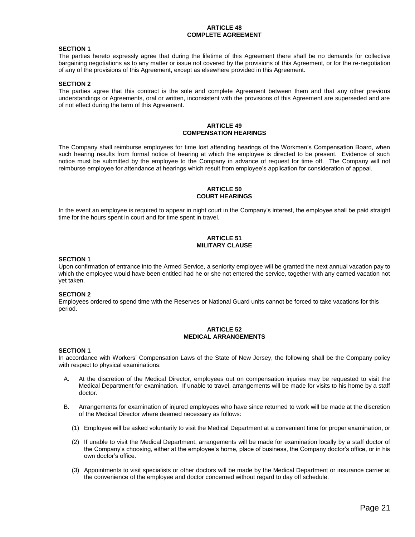### **ARTICLE 48 COMPLETE AGREEMENT**

# **SECTION 1**

The parties hereto expressly agree that during the lifetime of this Agreement there shall be no demands for collective bargaining negotiations as to any matter or issue not covered by the provisions of this Agreement, or for the re-negotiation of any of the provisions of this Agreement, except as elsewhere provided in this Agreement.

# **SECTION 2**

The parties agree that this contract is the sole and complete Agreement between them and that any other previous understandings or Agreements, oral or written, inconsistent with the provisions of this Agreement are superseded and are of not effect during the term of this Agreement.

#### **ARTICLE 49 COMPENSATION HEARINGS**

The Company shall reimburse employees for time lost attending hearings of the Workmen's Compensation Board, when such hearing results from formal notice of hearing at which the employee is directed to be present. Evidence of such notice must be submitted by the employee to the Company in advance of request for time off. The Company will not reimburse employee for attendance at hearings which result from employee's application for consideration of appeal.

# **ARTICLE 50 COURT HEARINGS**

In the event an employee is required to appear in night court in the Company's interest, the employee shall be paid straight time for the hours spent in court and for time spent in travel.

# **ARTICLE 51 MILITARY CLAUSE**

#### **SECTION 1**

Upon confirmation of entrance into the Armed Service, a seniority employee will be granted the next annual vacation pay to which the employee would have been entitled had he or she not entered the service, together with any earned vacation not yet taken.

# **SECTION 2**

Employees ordered to spend time with the Reserves or National Guard units cannot be forced to take vacations for this period.

#### **ARTICLE 52 MEDICAL ARRANGEMENTS**

#### **SECTION 1**

In accordance with Workers' Compensation Laws of the State of New Jersey, the following shall be the Company policy with respect to physical examinations:

- A. At the discretion of the Medical Director, employees out on compensation injuries may be requested to visit the Medical Department for examination. If unable to travel, arrangements will be made for visits to his home by a staff doctor.
- B. Arrangements for examination of injured employees who have since returned to work will be made at the discretion of the Medical Director where deemed necessary as follows:
	- (1) Employee will be asked voluntarily to visit the Medical Department at a convenient time for proper examination, or
	- (2) If unable to visit the Medical Department, arrangements will be made for examination locally by a staff doctor of the Company's choosing, either at the employee's home, place of business, the Company doctor's office, or in his own doctor's office.
	- (3) Appointments to visit specialists or other doctors will be made by the Medical Department or insurance carrier at the convenience of the employee and doctor concerned without regard to day off schedule.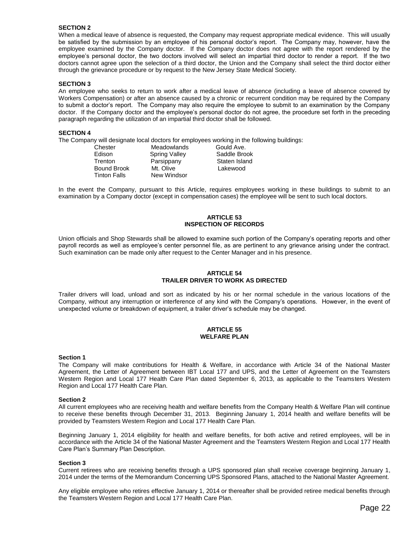When a medical leave of absence is requested, the Company may request appropriate medical evidence. This will usually be satisfied by the submission by an employee of his personal doctor's report. The Company may, however, have the employee examined by the Company doctor. If the Company doctor does not agree with the report rendered by the employee's personal doctor, the two doctors involved will select an impartial third doctor to render a report. If the two doctors cannot agree upon the selection of a third doctor, the Union and the Company shall select the third doctor either through the grievance procedure or by request to the New Jersey State Medical Society.

# **SECTION 3**

An employee who seeks to return to work after a medical leave of absence (including a leave of absence covered by Workers Compensation) or after an absence caused by a chronic or recurrent condition may be required by the Company to submit a doctor's report. The Company may also require the employee to submit to an examination by the Company doctor. If the Company doctor and the employee's personal doctor do not agree, the procedure set forth in the preceding paragraph regarding the utilization of an impartial third doctor shall be followed.

#### **SECTION 4**

The Company will designate local doctors for employees working in the following buildings:

| Chester             | Meadowlands   | Gould Ave.    |
|---------------------|---------------|---------------|
| Edison              | Spring Valley | Saddle Brook  |
| Trenton             | Parsippany    | Staten Island |
| <b>Bound Brook</b>  | Mt. Olive     | Lakewood      |
| <b>Tinton Falls</b> | New Windsor   |               |

In the event the Company, pursuant to this Article, requires employees working in these buildings to submit to an examination by a Company doctor (except in compensation cases) the employee will be sent to such local doctors.

#### **ARTICLE 53 INSPECTION OF RECORDS**

Union officials and Shop Stewards shall be allowed to examine such portion of the Company's operating reports and other payroll records as well as employee's center personnel file, as are pertinent to any grievance arising under the contract. Such examination can be made only after request to the Center Manager and in his presence.

# **ARTICLE 54 TRAILER DRIVER TO WORK AS DIRECTED**

Trailer drivers will load, unload and sort as indicated by his or her normal schedule in the various locations of the Company, without any interruption or interference of any kind with the Company's operations. However, in the event of unexpected volume or breakdown of equipment, a trailer driver's schedule may be changed.

# **ARTICLE 55 WELFARE PLAN**

#### **Section 1**

The Company will make contributions for Health & Welfare, in accordance with Article 34 of the National Master Agreement, the Letter of Agreement between IBT Local 177 and UPS, and the Letter of Agreement on the Teamsters Western Region and Local 177 Health Care Plan dated September 6, 2013, as applicable to the Teamsters Western Region and Local 177 Health Care Plan.

#### **Section 2**

All current employees who are receiving health and welfare benefits from the Company Health & Welfare Plan will continue to receive these benefits through December 31, 2013. Beginning January 1, 2014 health and welfare benefits will be provided by Teamsters Western Region and Local 177 Health Care Plan.

Beginning January 1, 2014 eligibility for health and welfare benefits, for both active and retired employees, will be in accordance with the Article 34 of the National Master Agreement and the Teamsters Western Region and Local 177 Health Care Plan's Summary Plan Description.

#### **Section 3**

Current retirees who are receiving benefits through a UPS sponsored plan shall receive coverage beginning January 1, 2014 under the terms of the Memorandum Concerning UPS Sponsored Plans, attached to the National Master Agreement.

Any eligible employee who retires effective January 1, 2014 or thereafter shall be provided retiree medical benefits through the Teamsters Western Region and Local 177 Health Care Plan.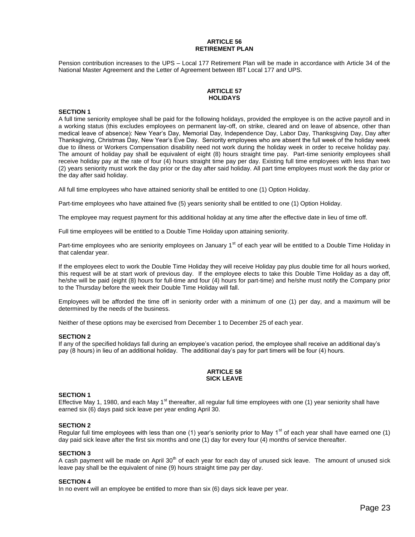# **ARTICLE 56 RETIREMENT PLAN**

Pension contribution increases to the UPS – Local 177 Retirement Plan will be made in accordance with Article 34 of the National Master Agreement and the Letter of Agreement between IBT Local 177 and UPS.

# **ARTICLE 57 HOLIDAYS**

# **SECTION 1**

A full time seniority employee shall be paid for the following holidays, provided the employee is on the active payroll and in a working status (this excludes employees on permanent lay-off, on strike, cleared and on leave of absence, other than medical leave of absence): New Year's Day, Memorial Day, Independence Day, Labor Day, Thanksgiving Day, Day after Thanksgiving, Christmas Day, New Year's Eve Day. Seniority employees who are absent the full week of the holiday week due to illness or Workers Compensation disability need not work during the holiday week in order to receive holiday pay. The amount of holiday pay shall be equivalent of eight (8) hours straight time pay. Part-time seniority employees shall receive holiday pay at the rate of four (4) hours straight time pay per day. Existing full time employees with less than two (2) years seniority must work the day prior or the day after said holiday. All part time employees must work the day prior or the day after said holiday.

All full time employees who have attained seniority shall be entitled to one (1) Option Holiday.

Part-time employees who have attained five (5) years seniority shall be entitled to one (1) Option Holiday.

The employee may request payment for this additional holiday at any time after the effective date in lieu of time off.

Full time employees will be entitled to a Double Time Holiday upon attaining seniority.

Part-time employees who are seniority employees on January 1<sup>st</sup> of each year will be entitled to a Double Time Holiday in that calendar year.

If the employees elect to work the Double Time Holiday they will receive Holiday pay plus double time for all hours worked, this request will be at start work of previous day. If the employee elects to take this Double Time Holiday as a day off, he/she will be paid (eight (8) hours for full-time and four (4) hours for part-time) and he/she must notify the Company prior to the Thursday before the week their Double Time Holiday will fall.

Employees will be afforded the time off in seniority order with a minimum of one (1) per day, and a maximum will be determined by the needs of the business.

Neither of these options may be exercised from December 1 to December 25 of each year.

#### **SECTION 2**

If any of the specified holidays fall during an employee's vacation period, the employee shall receive an additional day's pay (8 hours) in lieu of an additional holiday. The additional day's pay for part timers will be four (4) hours.

#### **ARTICLE 58 SICK LEAVE**

# **SECTION 1**

Effective May 1, 1980, and each May 1<sup>st</sup> thereafter, all regular full time employees with one (1) year seniority shall have earned six (6) days paid sick leave per year ending April 30.

#### **SECTION 2**

Regular full time employees with less than one (1) year's seniority prior to May  $1<sup>st</sup>$  of each year shall have earned one (1) day paid sick leave after the first six months and one (1) day for every four (4) months of service thereafter.

# **SECTION 3**

A cash payment will be made on April 30<sup>th</sup> of each year for each day of unused sick leave. The amount of unused sick leave pay shall be the equivalent of nine (9) hours straight time pay per day.

#### **SECTION 4**

In no event will an employee be entitled to more than six (6) days sick leave per year.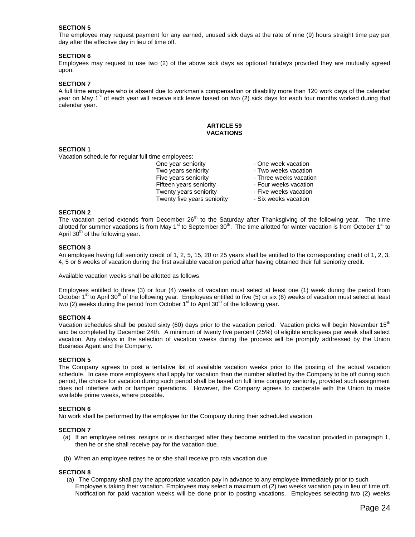The employee may request payment for any earned, unused sick days at the rate of nine (9) hours straight time pay per day after the effective day in lieu of time off.

# **SECTION 6**

Employees may request to use two (2) of the above sick days as optional holidays provided they are mutually agreed upon.

#### **SECTION 7**

A full time employee who is absent due to workman's compensation or disability more than 120 work days of the calendar year on May 1<sup>st</sup> of each year will receive sick leave based on two (2) sick days for each four months worked during that calendar year.

# **ARTICLE 59 VACATIONS**

# **SECTION 1**

Vacation schedule for regular full time employees:

One year seniority **CONEC 10 FOR SERVICE** - One week vacation Two years seniority **Fig. 2018** - Two weeks vacation Five years seniority **Filter State State State State** - Three weeks vacation Fifteen years seniority **Fifteen** years seniority **Figure** - Four weeks vacation Twenty years seniority **Filly** - Five weeks vacation Twenty five years seniority - Six weeks vacation

- 
- 
- 
- 
- 
- 

#### **SECTION 2**

The vacation period extends from December  $26<sup>th</sup>$  to the Saturday after Thanksgiving of the following year. The time allotted for summer vacations is from May  $1<sup>st</sup>$  to September 30<sup>th</sup>. The time allotted for winter vacation is from October  $1<sup>st</sup>$  to April  $30<sup>th</sup>$  of the following year.

#### **SECTION 3**

An employee having full seniority credit of 1, 2, 5, 15, 20 or 25 years shall be entitled to the corresponding credit of 1, 2, 3, 4, 5 or 6 weeks of vacation during the first available vacation period after having obtained their full seniority credit.

Available vacation weeks shall be allotted as follows:

Employees entitled to three (3) or four (4) weeks of vacation must select at least one (1) week during the period from October 1<sup>st</sup> to April 30<sup>th</sup> of the following year. Employees entitled to five (5) or six (6) weeks of vacation must select at least two (2) weeks during the period from October  $1<sup>st</sup>$  to April 30<sup>th</sup> of the following year.

#### **SECTION 4**

Vacation schedules shall be posted sixty (60) days prior to the vacation period. Vacation picks will begin November  $15<sup>th</sup>$ and be completed by December 24th. A minimum of twenty five percent (25%) of eligible employees per week shall select vacation. Any delays in the selection of vacation weeks during the process will be promptly addressed by the Union Business Agent and the Company.

#### **SECTION 5**

The Company agrees to post a tentative list of available vacation weeks prior to the posting of the actual vacation schedule. In case more employees shall apply for vacation than the number allotted by the Company to be off during such period, the choice for vacation during such period shall be based on full time company seniority, provided such assignment does not interfere with or hamper operations. However, the Company agrees to cooperate with the Union to make available prime weeks, where possible.

#### **SECTION 6**

No work shall be performed by the employee for the Company during their scheduled vacation.

#### **SECTION 7**

- (a) If an employee retires, resigns or is discharged after they become entitled to the vacation provided in paragraph 1, then he or she shall receive pay for the vacation due.
- (b) When an employee retires he or she shall receive pro rata vacation due.

# **SECTION 8**

(a) The Company shall pay the appropriate vacation pay in advance to any employee immediately prior to such Employee's taking their vacation. Employees may select a maximum of (2) two weeks vacation pay in lieu of time off. Notification for paid vacation weeks will be done prior to posting vacations. Employees selecting two (2) weeks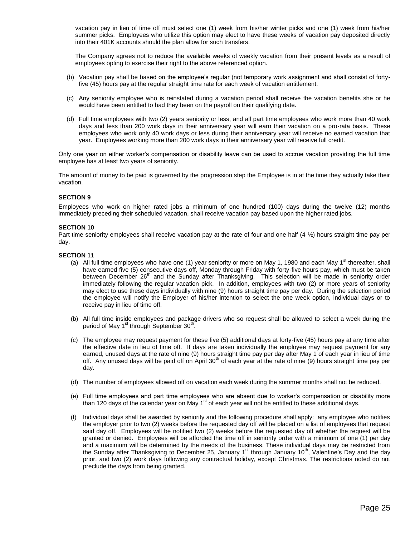vacation pay in lieu of time off must select one (1) week from his/her winter picks and one (1) week from his/her summer picks. Employees who utilize this option may elect to have these weeks of vacation pay deposited directly into their 401K accounts should the plan allow for such transfers.

The Company agrees not to reduce the available weeks of weekly vacation from their present levels as a result of employees opting to exercise their right to the above referenced option.

- (b) Vacation pay shall be based on the employee's regular (not temporary work assignment and shall consist of fortyfive (45) hours pay at the regular straight time rate for each week of vacation entitlement.
- (c) Any seniority employee who is reinstated during a vacation period shall receive the vacation benefits she or he would have been entitled to had they been on the payroll on their qualifying date.
- (d) Full time employees with two (2) years seniority or less, and all part time employees who work more than 40 work days and less than 200 work days in their anniversary year will earn their vacation on a pro-rata basis. These employees who work only 40 work days or less during their anniversary year will receive no earned vacation that year. Employees working more than 200 work days in their anniversary year will receive full credit.

Only one year on either worker's compensation or disability leave can be used to accrue vacation providing the full time employee has at least two years of seniority.

The amount of money to be paid is governed by the progression step the Employee is in at the time they actually take their vacation.

# **SECTION 9**

Employees who work on higher rated jobs a minimum of one hundred (100) days during the twelve (12) months immediately preceding their scheduled vacation, shall receive vacation pay based upon the higher rated jobs.

#### **SECTION 10**

Part time seniority employees shall receive vacation pay at the rate of four and one half  $(4 \frac{1}{2})$  hours straight time pay per day.

#### **SECTION 11**

- (a) All full time employees who have one (1) year seniority or more on May 1, 1980 and each May 1<sup>st</sup> thereafter, shall have earned five (5) consecutive days off, Monday through Friday with forty-five hours pay, which must be taken between December 26<sup>th</sup> and the Sunday after Thanksgiving. This selection will be made in seniority order immediately following the regular vacation pick. In addition, employees with two (2) or more years of seniority may elect to use these days individually with nine (9) hours straight time pay per day. During the selection period the employee will notify the Employer of his/her intention to select the one week option, individual days or to receive pay in lieu of time off.
- (b) All full time inside employees and package drivers who so request shall be allowed to select a week during the period of May 1<sup>st</sup> through September 30<sup>th</sup>.
- (c) The employee may request payment for these five (5) additional days at forty-five (45) hours pay at any time after the effective date in lieu of time off. If days are taken individually the employee may request payment for any earned, unused days at the rate of nine (9) hours straight time pay per day after May 1 of each year in lieu of time off. Any unused days will be paid off on April 30<sup>th</sup> of each year at the rate of nine (9) hours straight time pay per day.
- (d) The number of employees allowed off on vacation each week during the summer months shall not be reduced.
- (e) Full time employees and part time employees who are absent due to worker's compensation or disability more than 120 days of the calendar year on May  $1<sup>st</sup>$  of each year will not be entitled to these additional days.
- (f) Individual days shall be awarded by seniority and the following procedure shall apply: any employee who notifies the employer prior to two (2) weeks before the requested day off will be placed on a list of employees that request said day off. Employees will be notified two (2) weeks before the requested day off whether the request will be granted or denied. Employees will be afforded the time off in seniority order with a minimum of one (1) per day and a maximum will be determined by the needs of the business. These individual days may be restricted from the Sunday after Thanksgiving to December 25, January 1<sup>st</sup> through January 10<sup>th</sup>, Valentine's Day and the day prior, and two (2) work days following any contractual holiday, except Christmas. The restrictions noted do not preclude the days from being granted.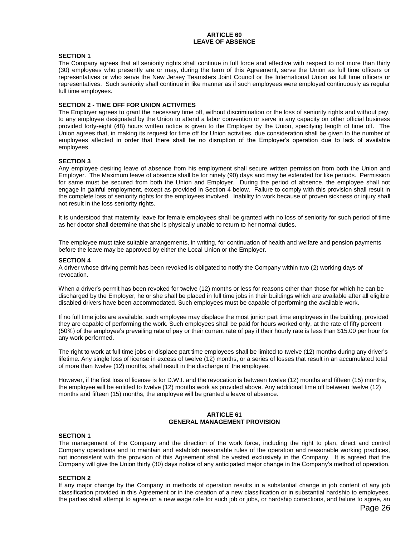#### **ARTICLE 60 LEAVE OF ABSENCE**

# **SECTION 1**

The Company agrees that all seniority rights shall continue in full force and effective with respect to not more than thirty (30) employees who presently are or may, during the term of this Agreement, serve the Union as full time officers or representatives or who serve the New Jersey Teamsters Joint Council or the International Union as full time officers or representatives. Such seniority shall continue in like manner as if such employees were employed continuously as regular full time employees.

# **SECTION 2 - TIME OFF FOR UNION ACTIVITIES**

The Employer agrees to grant the necessary time off, without discrimination or the loss of seniority rights and without pay, to any employee designated by the Union to attend a labor convention or serve in any capacity on other official business provided forty-eight (48) hours written notice is given to the Employer by the Union, specifying length of time off. The Union agrees that, in making its request for time off for Union activities, due consideration shall be given to the number of employees affected in order that there shall be no disruption of the Employer's operation due to lack of available employees.

#### **SECTION 3**

Any employee desiring leave of absence from his employment shall secure written permission from both the Union and Employer. The Maximum leave of absence shall be for ninety (90) days and may be extended for like periods. Permission for same must be secured from both the Union and Employer. During the period of absence, the employee shall not engage in gainful employment, except as provided in Section 4 below. Failure to comply with this provision shall result in the complete loss of seniority rights for the employees involved. Inability to work because of proven sickness or injury shall not result in the loss seniority rights.

It is understood that maternity leave for female employees shall be granted with no loss of seniority for such period of time as her doctor shall determine that she is physically unable to return to her normal duties.

The employee must take suitable arrangements, in writing, for continuation of health and welfare and pension payments before the leave may be approved by either the Local Union or the Employer.

#### **SECTION 4**

A driver whose driving permit has been revoked is obligated to notify the Company within two (2) working days of revocation.

When a driver's permit has been revoked for twelve (12) months or less for reasons other than those for which he can be discharged by the Employer, he or she shall be placed in full time jobs in their buildings which are available after all eligible disabled drivers have been accommodated. Such employees must be capable of performing the available work.

If no full time jobs are available, such employee may displace the most junior part time employees in the building, provided they are capable of performing the work. Such employees shall be paid for hours worked only, at the rate of fifty percent (50%) of the employee's prevailing rate of pay or their current rate of pay if their hourly rate is less than \$15.00 per hour for any work performed.

The right to work at full time jobs or displace part time employees shall be limited to twelve (12) months during any driver's lifetime. Any single loss of license in excess of twelve (12) months, or a series of losses that result in an accumulated total of more than twelve (12) months, shall result in the discharge of the employee.

However, if the first loss of license is for D.W.I. and the revocation is between twelve (12) months and fifteen (15) months, the employee will be entitled to twelve (12) months work as provided above. Any additional time off between twelve (12) months and fifteen (15) months, the employee will be granted a leave of absence.

# **ARTICLE 61 GENERAL MANAGEMENT PROVISION**

#### **SECTION 1**

The management of the Company and the direction of the work force, including the right to plan, direct and control Company operations and to maintain and establish reasonable rules of the operation and reasonable working practices, not inconsistent with the provision of this Agreement shall be vested exclusively in the Company. It is agreed that the Company will give the Union thirty (30) days notice of any anticipated major change in the Company's method of operation.

#### **SECTION 2**

If any major change by the Company in methods of operation results in a substantial change in job content of any job classification provided in this Agreement or in the creation of a new classification or in substantial hardship to employees, the parties shall attempt to agree on a new wage rate for such job or jobs, or hardship corrections, and failure to agree, an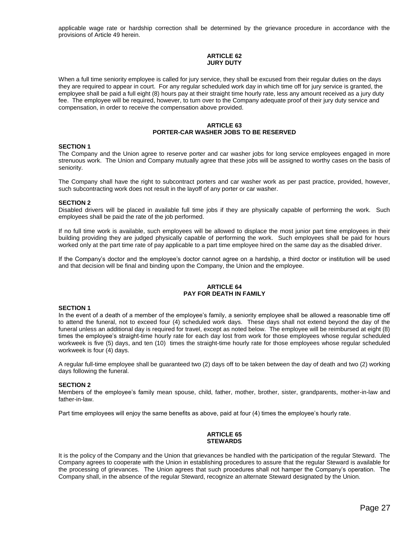applicable wage rate or hardship correction shall be determined by the grievance procedure in accordance with the provisions of Article 49 herein.

# **ARTICLE 62 JURY DUTY**

When a full time seniority employee is called for jury service, they shall be excused from their regular duties on the days they are required to appear in court. For any regular scheduled work day in which time off for jury service is granted, the employee shall be paid a full eight (8) hours pay at their straight time hourly rate, less any amount received as a jury duty fee. The employee will be required, however, to turn over to the Company adequate proof of their jury duty service and compensation, in order to receive the compensation above provided.

# **ARTICLE 63 PORTER-CAR WASHER JOBS TO BE RESERVED**

#### **SECTION 1**

The Company and the Union agree to reserve porter and car washer jobs for long service employees engaged in more strenuous work. The Union and Company mutually agree that these jobs will be assigned to worthy cases on the basis of seniority.

The Company shall have the right to subcontract porters and car washer work as per past practice, provided, however, such subcontracting work does not result in the layoff of any porter or car washer.

#### **SECTION 2**

Disabled drivers will be placed in available full time jobs if they are physically capable of performing the work. Such employees shall be paid the rate of the job performed.

If no full time work is available, such employees will be allowed to displace the most junior part time employees in their building providing they are judged physically capable of performing the work. Such employees shall be paid for hours worked only at the part time rate of pay applicable to a part time employee hired on the same day as the disabled driver.

If the Company's doctor and the employee's doctor cannot agree on a hardship, a third doctor or institution will be used and that decision will be final and binding upon the Company, the Union and the employee.

# **ARTICLE 64 PAY FOR DEATH IN FAMILY**

#### **SECTION 1**

In the event of a death of a member of the employee's family, a seniority employee shall be allowed a reasonable time off to attend the funeral, not to exceed four (4) scheduled work days. These days shall not extend beyond the day of the funeral unless an additional day is required for travel, except as noted below. The employee will be reimbursed at eight (8) times the employee's straight-time hourly rate for each day lost from work for those employees whose regular scheduled workweek is five (5) days, and ten (10) times the straight-time hourly rate for those employees whose regular scheduled workweek is four (4) days.

A regular full-time employee shall be guaranteed two (2) days off to be taken between the day of death and two (2) working days following the funeral.

#### **SECTION 2**

Members of the employee's family mean spouse, child, father, mother, brother, sister, grandparents, mother-in-law and father-in-law.

Part time employees will enjoy the same benefits as above, paid at four (4) times the employee's hourly rate.

#### **ARTICLE 65 STEWARDS**

It is the policy of the Company and the Union that grievances be handled with the participation of the regular Steward. The Company agrees to cooperate with the Union in establishing procedures to assure that the regular Steward is available for the processing of grievances. The Union agrees that such procedures shall not hamper the Company's operation. The Company shall, in the absence of the regular Steward, recognize an alternate Steward designated by the Union.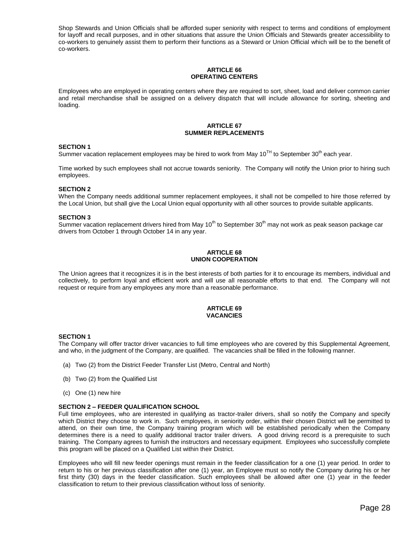Shop Stewards and Union Officials shall be afforded super seniority with respect to terms and conditions of employment for layoff and recall purposes, and in other situations that assure the Union Officials and Stewards greater accessibility to co-workers to genuinely assist them to perform their functions as a Steward or Union Official which will be to the benefit of co-workers.

#### **ARTICLE 66 OPERATING CENTERS**

Employees who are employed in operating centers where they are required to sort, sheet, load and deliver common carrier and retail merchandise shall be assigned on a delivery dispatch that will include allowance for sorting, sheeting and loading.

# **ARTICLE 67 SUMMER REPLACEMENTS**

#### **SECTION 1**

Summer vacation replacement employees may be hired to work from May  $10^{TH}$  to September  $30^{th}$  each year.

Time worked by such employees shall not accrue towards seniority. The Company will notify the Union prior to hiring such employees.

#### **SECTION 2**

When the Company needs additional summer replacement employees, it shall not be compelled to hire those referred by the Local Union, but shall give the Local Union equal opportunity with all other sources to provide suitable applicants.

#### **SECTION 3**

Summer vacation replacement drivers hired from May  $10^{th}$  to September  $30^{th}$  may not work as peak season package car drivers from October 1 through October 14 in any year.

#### **ARTICLE 68 UNION COOPERATION**

The Union agrees that it recognizes it is in the best interests of both parties for it to encourage its members, individual and collectively, to perform loyal and efficient work and will use all reasonable efforts to that end. The Company will not request or require from any employees any more than a reasonable performance.

### **ARTICLE 69 VACANCIES**

#### **SECTION 1**

The Company will offer tractor driver vacancies to full time employees who are covered by this Supplemental Agreement, and who, in the judgment of the Company, are qualified. The vacancies shall be filled in the following manner.

- (a) Two (2) from the District Feeder Transfer List (Metro, Central and North)
- (b) Two (2) from the Qualified List
- (c) One (1) new hire

#### **SECTION 2 – FEEDER QUALIFICATION SCHOOL**

Full time employees, who are interested in qualifying as tractor-trailer drivers, shall so notify the Company and specify which District they choose to work in. Such employees, in seniority order, within their chosen District will be permitted to attend, on their own time, the Company training program which will be established periodically when the Company determines there is a need to qualify additional tractor trailer drivers. A good driving record is a prerequisite to such training. The Company agrees to furnish the instructors and necessary equipment. Employees who successfully complete this program will be placed on a Qualified List within their District.

Employees who will fill new feeder openings must remain in the feeder classification for a one (1) year period. In order to return to his or her previous classification after one (1) year, an Employee must so notify the Company during his or her first thirty (30) days in the feeder classification. Such employees shall be allowed after one (1) year in the feeder classification to return to their previous classification without loss of seniority.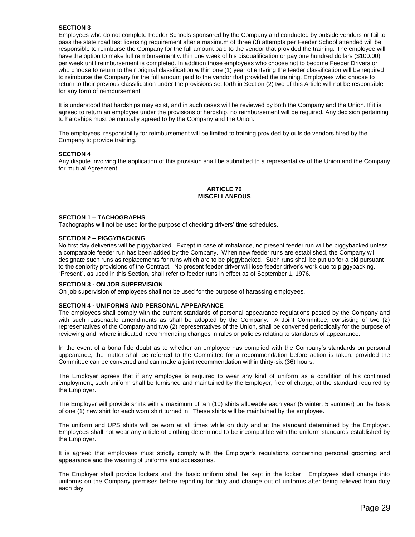Employees who do not complete Feeder Schools sponsored by the Company and conducted by outside vendors or fail to pass the state road test licensing requirement after a maximum of three (3) attempts per Feeder School attended will be responsible to reimburse the Company for the full amount paid to the vendor that provided the training. The employee will have the option to make full reimbursement within one week of his disqualification or pay one hundred dollars (\$100.00) per week until reimbursement is completed. In addition those employees who choose not to become Feeder Drivers or who choose to return to their original classification within one (1) year of entering the feeder classification will be required to reimburse the Company for the full amount paid to the vendor that provided the training. Employees who choose to return to their previous classification under the provisions set forth in Section (2) two of this Article will not be responsible for any form of reimbursement.

It is understood that hardships may exist, and in such cases will be reviewed by both the Company and the Union. If it is agreed to return an employee under the provisions of hardship, no reimbursement will be required. Any decision pertaining to hardships must be mutually agreed to by the Company and the Union.

The employees' responsibility for reimbursement will be limited to training provided by outside vendors hired by the Company to provide training.

#### **SECTION 4**

Any dispute involving the application of this provision shall be submitted to a representative of the Union and the Company for mutual Agreement.

# **ARTICLE 70 MISCELLANEOUS**

#### **SECTION 1 – TACHOGRAPHS**

Tachographs will not be used for the purpose of checking drivers' time schedules.

#### **SECTION 2 – PIGGYBACKING**

No first day deliveries will be piggybacked. Except in case of imbalance, no present feeder run will be piggybacked unless a comparable feeder run has been added by the Company. When new feeder runs are established, the Company will designate such runs as replacements for runs which are to be piggybacked. Such runs shall be put up for a bid pursuant to the seniority provisions of the Contract. No present feeder driver will lose feeder driver's work due to piggybacking. "Present", as used in this Section, shall refer to feeder runs in effect as of September 1, 1976.

#### **SECTION 3 - ON JOB SUPERVISION**

On job supervision of employees shall not be used for the purpose of harassing employees.

#### **SECTION 4 - UNIFORMS AND PERSONAL APPEARANCE**

The employees shall comply with the current standards of personal appearance regulations posted by the Company and with such reasonable amendments as shall be adopted by the Company. A Joint Committee, consisting of two (2) representatives of the Company and two (2) representatives of the Union, shall be convened periodically for the purpose of reviewing and, where indicated, recommending changes in rules or policies relating to standards of appearance.

In the event of a bona fide doubt as to whether an employee has complied with the Company's standards on personal appearance, the matter shall be referred to the Committee for a recommendation before action is taken, provided the Committee can be convened and can make a joint recommendation within thirty-six (36) hours.

The Employer agrees that if any employee is required to wear any kind of uniform as a condition of his continued employment, such uniform shall be furnished and maintained by the Employer, free of charge, at the standard required by the Employer.

The Employer will provide shirts with a maximum of ten (10) shirts allowable each year (5 winter, 5 summer) on the basis of one (1) new shirt for each worn shirt turned in. These shirts will be maintained by the employee.

The uniform and UPS shirts will be worn at all times while on duty and at the standard determined by the Employer. Employees shall not wear any article of clothing determined to be incompatible with the uniform standards established by the Employer.

It is agreed that employees must strictly comply with the Employer's regulations concerning personal grooming and appearance and the wearing of uniforms and accessories.

The Employer shall provide lockers and the basic uniform shall be kept in the locker. Employees shall change into uniforms on the Company premises before reporting for duty and change out of uniforms after being relieved from duty each day.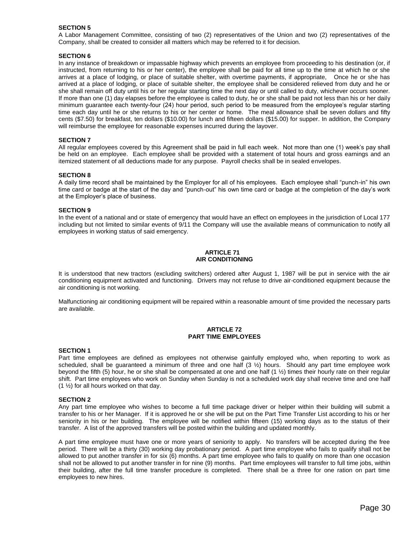A Labor Management Committee, consisting of two (2) representatives of the Union and two (2) representatives of the Company, shall be created to consider all matters which may be referred to it for decision.

# **SECTION 6**

In any instance of breakdown or impassable highway which prevents an employee from proceeding to his destination (or, if instructed, from returning to his or her center), the employee shall be paid for all time up to the time at which he or she arrives at a place of lodging, or place of suitable shelter, with overtime payments, if appropriate, Once he or she has arrived at a place of lodging, or place of suitable shelter, the employee shall be considered relieved from duty and he or she shall remain off duty until his or her regular starting time the next day or until called to duty, whichever occurs sooner. If more than one (1) day elapses before the employee is called to duty, he or she shall be paid not less than his or her daily minimum guarantee each twenty-four (24) hour period, such period to be measured from the employee's regular starting time each day until he or she returns to his or her center or home. The meal allowance shall be seven dollars and fifty cents (\$7.50) for breakfast, ten dollars (\$10.00) for lunch and fifteen dollars (\$15.00) for supper. In addition, the Company will reimburse the employee for reasonable expenses incurred during the layover.

#### **SECTION 7**

All regular employees covered by this Agreement shall be paid in full each week. Not more than one (1) week's pay shall be held on an employee. Each employee shall be provided with a statement of total hours and gross earnings and an itemized statement of all deductions made for any purpose. Payroll checks shall be in sealed envelopes.

#### **SECTION 8**

A daily time record shall be maintained by the Employer for all of his employees. Each employee shall "punch-in" his own time card or badge at the start of the day and "punch-out" his own time card or badge at the completion of the day's work at the Employer's place of business.

#### **SECTION 9**

In the event of a national and or state of emergency that would have an effect on employees in the jurisdiction of Local 177 including but not limited to similar events of 9/11 the Company will use the available means of communication to notify all employees in working status of said emergency.

#### **ARTICLE 71 AIR CONDITIONING**

It is understood that new tractors (excluding switchers) ordered after August 1, 1987 will be put in service with the air conditioning equipment activated and functioning. Drivers may not refuse to drive air-conditioned equipment because the air conditioning is not working.

Malfunctioning air conditioning equipment will be repaired within a reasonable amount of time provided the necessary parts are available.

#### **ARTICLE 72 PART TIME EMPLOYEES**

#### **SECTION 1**

Part time employees are defined as employees not otherwise gainfully employed who, when reporting to work as scheduled, shall be guaranteed a minimum of three and one half (3 ½) hours. Should any part time employee work beyond the fifth (5) hour, he or she shall be compensated at one and one half (1 ½) times their hourly rate on their regular shift. Part time employees who work on Sunday when Sunday is not a scheduled work day shall receive time and one half (1 ½) for all hours worked on that day.

#### **SECTION 2**

Any part time employee who wishes to become a full time package driver or helper within their building will submit a transfer to his or her Manager. If it is approved he or she will be put on the Part Time Transfer List according to his or her seniority in his or her building. The employee will be notified within fifteen (15) working days as to the status of their transfer. A list of the approved transfers will be posted within the building and updated monthly.

A part time employee must have one or more years of seniority to apply. No transfers will be accepted during the free period. There will be a thirty (30) working day probationary period. A part time employee who fails to qualify shall not be allowed to put another transfer in for six (6) months. A part time employee who fails to qualify on more than one occasion shall not be allowed to put another transfer in for nine (9) months. Part time employees will transfer to full time jobs, within their building, after the full time transfer procedure is completed. There shall be a three for one ration on part time employees to new hires.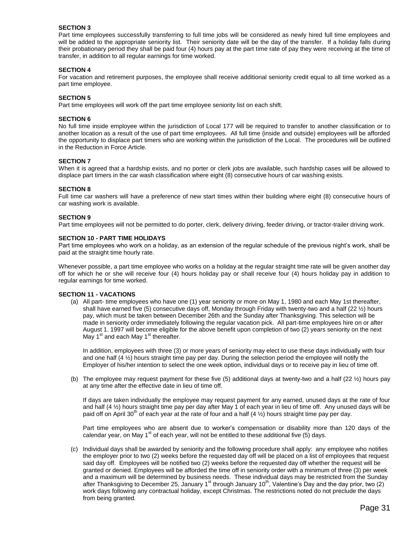Part time employees successfully transferring to full time jobs will be considered as newly hired full time employees and will be added to the appropriate seniority list. Their seniority date will be the day of the transfer. If a holiday falls during their probationary period they shall be paid four (4) hours pay at the part time rate of pay they were receiving at the time of transfer, in addition to all regular earnings for time worked.

#### **SECTION 4**

For vacation and retirement purposes, the employee shall receive additional seniority credit equal to all time worked as a part time employee.

#### **SECTION 5**

Part time employees will work off the part time employee seniority list on each shift.

#### **SECTION 6**

No full time inside employee within the jurisdiction of Local 177 will be required to transfer to another classification or to another location as a result of the use of part time employees. All full time (inside and outside) employees will be afforded the opportunity to displace part timers who are working within the jurisdiction of the Local. The procedures will be outlined in the Reduction in Force Article.

#### **SECTION 7**

When it is agreed that a hardship exists, and no porter or clerk jobs are available, such hardship cases will be allowed to displace part timers in the car wash classification where eight (8) consecutive hours of car washing exists.

#### **SECTION 8**

Full time car washers will have a preference of new start times within their building where eight (8) consecutive hours of car washing work is available.

#### **SECTION 9**

Part time employees will not be permitted to do porter, clerk, delivery driving, feeder driving, or tractor-trailer driving work.

#### **SECTION 10 - PART TIME HOLIDAYS**

Part time employees who work on a holiday, as an extension of the regular schedule of the previous night's work, shall be paid at the straight time hourly rate.

Whenever possible, a part time employee who works on a holiday at the regular straight time rate will be given another day off for which he or she will receive four (4) hours holiday pay or shall receive four (4) hours holiday pay in addition to regular earnings for time worked.

#### **SECTION 11 - VACATIONS**

(a) All part- time employees who have one (1) year seniority or more on May 1, 1980 and each May 1st thereafter, shall have earned five (5) consecutive days off, Monday through Friday with twenty-two and a half (22 ½) hours pay, which must be taken between December 26th and the Sunday after Thanksgiving. This selection will be made in seniority order immediately following the regular vacation pick. All part-time employees hire on or after August 1. 1997 will become eligible for the above benefit upon completion of two (2) years seniority on the next May  $1<sup>st</sup>$  and each May  $1<sup>st</sup>$  thereafter.

In addition, employees with three (3) or more years of seniority may elect to use these days individually with four and one half (4 ½) hours straight time pay per day. During the selection period the employee will notify the Employer of his/her intention to select the one week option, individual days or to receive pay in lieu of time off.

(b) The employee may request payment for these five (5) additional days at twenty-two and a half (22 ½) hours pay at any time after the effective date in lieu of time off.

If days are taken individually the employee may request payment for any earned, unused days at the rate of four and half  $(4 \frac{1}{2})$  hours straight time pay per day after May 1 of each year in lieu of time off. Any unused days will be paid off on April 30<sup>th</sup> of each year at the rate of four and a half (4  $\frac{1}{2}$ ) hours straight time pay per day.

Part time employees who are absent due to worker's compensation or disability more than 120 days of the calendar year, on May  $1<sup>st</sup>$  of each year, will not be entitled to these additional five (5) days.

(c) Individual days shall be awarded by seniority and the following procedure shall apply: any employee who notifies the employer prior to two (2) weeks before the requested day off will be placed on a list of employees that request said day off. Employees will be notified two (2) weeks before the requested day off whether the request will be granted or denied. Employees will be afforded the time off in seniority order with a minimum of three (3) per week and a maximum will be determined by business needs. These individual days may be restricted from the Sunday after Thanksgiving to December 25, January 1<sup>st</sup> through January 10<sup>th</sup>, Valentine's Day and the day prior, two (2) work days following any contractual holiday, except Christmas. The restrictions noted do not preclude the days from being granted.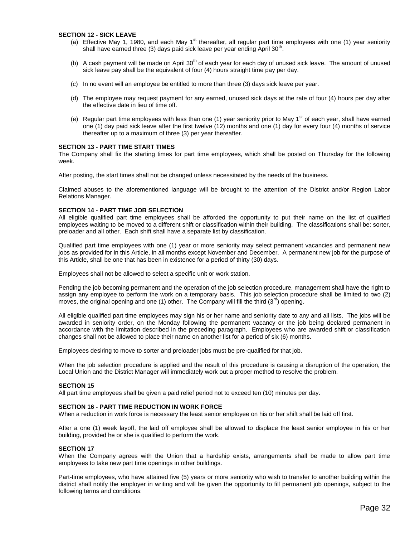#### **SECTION 12 - SICK LEAVE**

- (a) Effective May 1, 1980, and each May 1<sup>st</sup> thereafter, all regular part time employees with one (1) year seniority shall have earned three (3) days paid sick leave per year ending April 30<sup>th</sup>.
- (b) A cash payment will be made on April  $30<sup>th</sup>$  of each year for each day of unused sick leave. The amount of unused sick leave pay shall be the equivalent of four (4) hours straight time pay per day.
- (c) In no event will an employee be entitled to more than three (3) days sick leave per year.
- (d) The employee may request payment for any earned, unused sick days at the rate of four (4) hours per day after the effective date in lieu of time off.
- (e) Regular part time employees with less than one (1) year seniority prior to May 1<sup>st</sup> of each year, shall have earned one (1) day paid sick leave after the first twelve (12) months and one (1) day for every four (4) months of service thereafter up to a maximum of three (3) per year thereafter.

#### **SECTION 13 - PART TIME START TIMES**

The Company shall fix the starting times for part time employees, which shall be posted on Thursday for the following week.

After posting, the start times shall not be changed unless necessitated by the needs of the business.

Claimed abuses to the aforementioned language will be brought to the attention of the District and/or Region Labor Relations Manager.

#### **SECTION 14 - PART TIME JOB SELECTION**

All eligible qualified part time employees shall be afforded the opportunity to put their name on the list of qualified employees waiting to be moved to a different shift or classification within their building. The classifications shall be: sorter, preloader and all other. Each shift shall have a separate list by classification.

Qualified part time employees with one (1) year or more seniority may select permanent vacancies and permanent new jobs as provided for in this Article, in all months except November and December. A permanent new job for the purpose of this Article, shall be one that has been in existence for a period of thirty (30) days.

Employees shall not be allowed to select a specific unit or work station.

Pending the job becoming permanent and the operation of the job selection procedure, management shall have the right to assign any employee to perform the work on a temporary basis. This job selection procedure shall be limited to two (2) moves, the original opening and one (1) other. The Company will fill the third  $(3<sup>rd</sup>)$  opening.

All eligible qualified part time employees may sign his or her name and seniority date to any and all lists. The jobs will be awarded in seniority order, on the Monday following the permanent vacancy or the job being declared permanent in accordance with the limitation described in the preceding paragraph. Employees who are awarded shift or classification changes shall not be allowed to place their name on another list for a period of six (6) months.

Employees desiring to move to sorter and preloader jobs must be pre-qualified for that job.

When the job selection procedure is applied and the result of this procedure is causing a disruption of the operation, the Local Union and the District Manager will immediately work out a proper method to resolve the problem.

#### **SECTION 15**

All part time employees shall be given a paid relief period not to exceed ten (10) minutes per day.

#### **SECTION 16 - PART TIME REDUCTION IN WORK FORCE**

When a reduction in work force is necessary the least senior employee on his or her shift shall be laid off first.

After a one (1) week layoff, the laid off employee shall be allowed to displace the least senior employee in his or her building, provided he or she is qualified to perform the work.

#### **SECTION 17**

When the Company agrees with the Union that a hardship exists, arrangements shall be made to allow part time employees to take new part time openings in other buildings.

Part-time employees, who have attained five (5) years or more seniority who wish to transfer to another building within the district shall notify the employer in writing and will be given the opportunity to fill permanent job openings, subject to the following terms and conditions: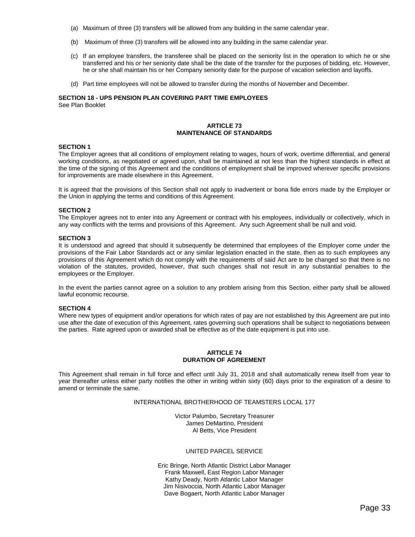- (a) Maximum of three (3) transfers will be allowed from any building in the same calendar year.
- (b) Maximum of three (3) transfers will be allowed into any building in the same calendar year.
- (c) If an employee transfers, the transferee shall be placed on the seniority list in the operation to which he or she transferred and his or her seniority date shall be the date of the transfer for the purposes of bidding, etc. However, he or she shall maintain his or her Company seniority date for the purpose of vacation selection and layoffs.
- (d) Part time employees will not be allowed to transfer during the months of November and December.

#### **SECTION 18 - UPS PENSION PLAN COVERING PART TIME EMPLOYEES** See Plan Booklet

# **ARTICLE 73 MAINTENANCE OF STANDARDS**

# **SECTION 1**

The Employer agrees that all conditions of employment relating to wages, hours of work, overtime differential, and general working conditions, as negotiated or agreed upon, shall be maintained at not less than the highest standards in effect at the time of the signing of this Agreement and the conditions of employment shall be improved wherever specific provisions for improvements are made elsewhere in this Agreement.

It is agreed that the provisions of this Section shall not apply to inadvertent or bona fide errors made by the Employer or the Union in applying the terms and conditions of this Agreement.

#### **SECTION 2**

The Employer agrees not to enter into any Agreement or contract with his employees, individually or collectively, which in any way conflicts with the terms and provisions of this Agreement. Any such Agreement shall be null and void.

#### **SECTION 3**

It is understood and agreed that should it subsequently be determined that employees of the Employer come under the provisions of the Fair Labor Standards act or any similar legislation enacted in the state, then as to such employees any provisions of this Agreement which do not comply with the requirements of said Act are to be changed so that there is no violation of the statutes, provided, however, that such changes shall not result in any substantial penalties to the employees or the Employer.

In the event the parties cannot agree on a solution to any problem arising from this Section, either party shall be allowed lawful economic recourse.

#### **SECTION 4**

Where new types of equipment and/or operations for which rates of pay are not established by this Agreement are put into use after the date of execution of this Agreement, rates governing such operations shall be subject to negotiations between the parties. Rate agreed upon or awarded shall be effective as of the date equipment is put into use.

# **ARTICLE 74 DURATION OF AGREEMENT**

This Agreement shall remain in full force and effect until July 31, 2018 and shall automatically renew itself from year to year thereafter unless either party notifies the other in writing within sixty (60) days prior to the expiration of a desire to amend or terminate the same.

# INTERNATIONAL BROTHERHOOD OF TEAMSTERS LOCAL 177

Victor Palumbo, Secretary Treasurer James DeMartino, President Al Betts, Vice President

# UNITED PARCEL SERVICE

Eric Bringe, North Atlantic District Labor Manager Frank Maxwell, East Region Labor Manager Kathy Deady, North Atlantic Labor Manager Jim Nisivoccia, North Atlantic Labor Manager Dave Bogaert, North Atlantic Labor Manager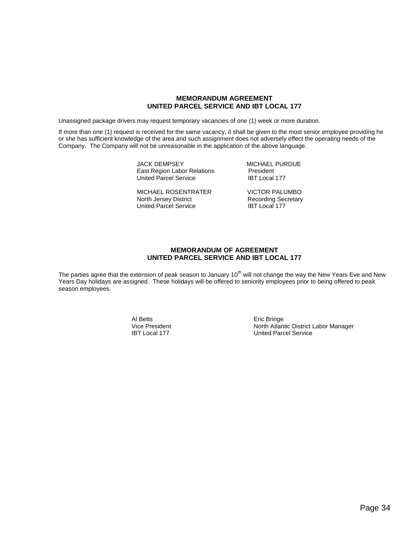# **MEMORANDUM AGREEMENT UNITED PARCEL SERVICE AND IBT LOCAL 177**

Unassigned package drivers may request temporary vacancies of one (1) week or more duration.

If more than one (1) request is received for the same vacancy, it shall be given to the most senior employee providing he or she has sufficient knowledge of the area and such assignment does not adversely effect the operating needs of the Company. The Company will not be unreasonable in the application of the above language.

> JACK DEMPSEY<br>
> East Region Labor Relations
> Section President East Region Labor Relations President<br>
> United Parcel Service President Rate Labor 177 United Parcel Service

> MICHAEL ROSENTRATER VICTOR PALUMBO United Parcel Service

Recording Secretary<br>IBT Local 177

# **MEMORANDUM OF AGREEMENT UNITED PARCEL SERVICE AND IBT LOCAL 177**

The parties agree that the extension of peak season to January  $10^{th}$  will not change the way the New Years Eve and New Years Day holidays are assigned. These holidays will be offered to seniority employees prior to being offered to peak season employees.

Al Betts<br>
Vice President<br>
Vice President<br>
Contact Alam North Atlant

Vice President **North Atlantic District Labor Manager**<br>
IBT Local 177 **North Atlantic District Labor Manager**<br>
United Parcel Service United Parcel Service